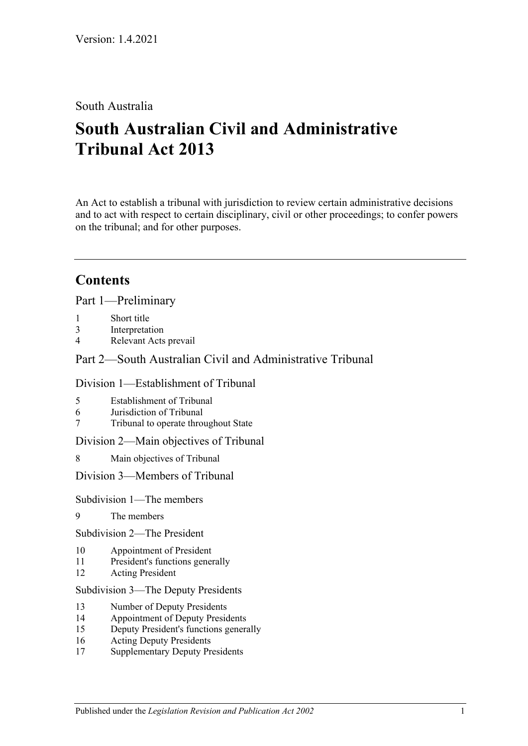# South Australia

# **South Australian Civil and Administrative Tribunal Act 2013**

An Act to establish a tribunal with jurisdiction to review certain administrative decisions and to act with respect to certain disciplinary, civil or other proceedings; to confer powers on the tribunal; and for other purposes.

# **Contents**

Part [1—Preliminary](#page-4-0)

- 1 [Short title](#page-4-1)
- 3 [Interpretation](#page-4-2)
- 4 [Relevant Acts prevail](#page-6-0)

# Part [2—South Australian Civil and Administrative Tribunal](#page-6-1)

### Division [1—Establishment of Tribunal](#page-6-2)

- 5 [Establishment of Tribunal](#page-6-3)
- 6 [Jurisdiction of Tribunal](#page-6-4)
- 7 [Tribunal to operate throughout State](#page-6-5)

### Division [2—Main objectives of Tribunal](#page-6-6)

8 [Main objectives of Tribunal](#page-6-7)

### Division [3—Members of Tribunal](#page-7-0)

### Subdivision [1—The members](#page-7-1)

- 9 [The members](#page-7-2)
- Subdivision [2—The President](#page-7-3)
- 10 [Appointment of President](#page-7-4)
- 11 [President's functions generally](#page-8-0)
- 12 [Acting President](#page-9-0)

### Subdivision [3—The Deputy Presidents](#page-10-0)

- 13 [Number of Deputy Presidents](#page-10-1)
- 14 [Appointment of Deputy Presidents](#page-10-2)
- 15 [Deputy President's functions generally](#page-11-0)
- 16 [Acting Deputy Presidents](#page-12-0)
- 17 [Supplementary Deputy Presidents](#page-13-0)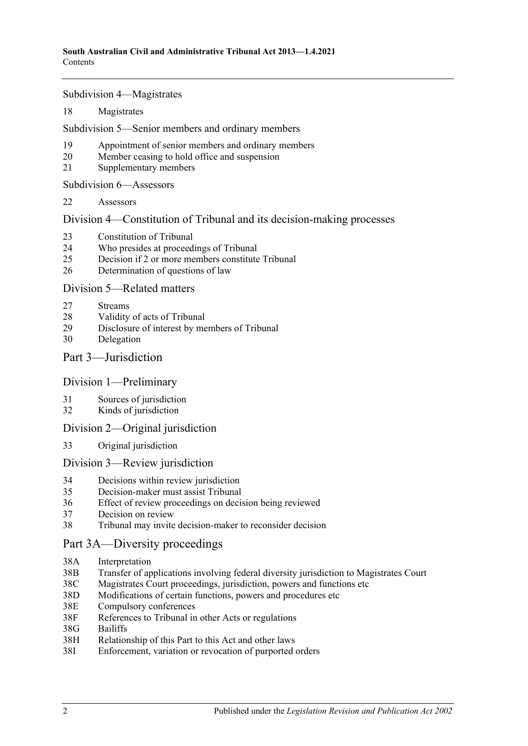Subdivision [4—Magistrates](#page-14-0)

18 [Magistrates](#page-14-1)

Subdivision [5—Senior members and ordinary members](#page-14-2)

- 19 [Appointment of senior members and](#page-14-3) ordinary members
- 20 [Member ceasing to hold office and suspension](#page-15-0)
- 21 [Supplementary members](#page-16-0)

Subdivision [6—Assessors](#page-17-0)

22 [Assessors](#page-17-1)

Division [4—Constitution of Tribunal and its decision-making processes](#page-17-2)

- 23 [Constitution of Tribunal](#page-17-3)
- 24 [Who presides at proceedings of Tribunal](#page-18-0)
- 25 [Decision if 2 or more members constitute Tribunal](#page-19-0)
- 26 [Determination of questions of law](#page-19-1)

### Division [5—Related matters](#page-19-2)

- 27 [Streams](#page-19-3)
- 28 [Validity of acts of Tribunal](#page-19-4)
- 29 [Disclosure of interest by members of Tribunal](#page-20-0)
- 30 [Delegation](#page-20-1)

Part [3—Jurisdiction](#page-20-2)

### Division [1—Preliminary](#page-20-3)

- 31 [Sources of jurisdiction](#page-20-4)
- 32 [Kinds of jurisdiction](#page-21-0)

### Division [2—Original jurisdiction](#page-21-1)

33 [Original jurisdiction](#page-21-2)

### Division [3—Review jurisdiction](#page-21-3)

- 34 [Decisions within review jurisdiction](#page-21-4)<br>35 Decision-maker must assist Tribunal
- 35 [Decision-maker must assist Tribunal](#page-22-0)
- 36 [Effect of review proceedings on decision being reviewed](#page-23-0)
- 37 [Decision on review](#page-24-0)
- 38 [Tribunal may invite decision-maker to reconsider decision](#page-24-1)

### [Part 3A—Diversity proceedings](#page-25-0)

- 38A [Interpretation](#page-25-1)
- 38B [Transfer of applications involving federal diversity jurisdiction to Magistrates Court](#page-25-2)
- 38C [Magistrates Court proceedings, jurisdiction, powers and functions etc](#page-26-0)
- 38D [Modifications of certain functions, powers and](#page-26-1) procedures etc
- 38E [Compulsory conferences](#page-27-0)
- 38F [References to Tribunal in other Acts or regulations](#page-27-1)
- 38G [Bailiffs](#page-27-2)
- 38H [Relationship of this Part to this Act and other laws](#page-27-3)
- 38I [Enforcement, variation or revocation of purported orders](#page-28-0)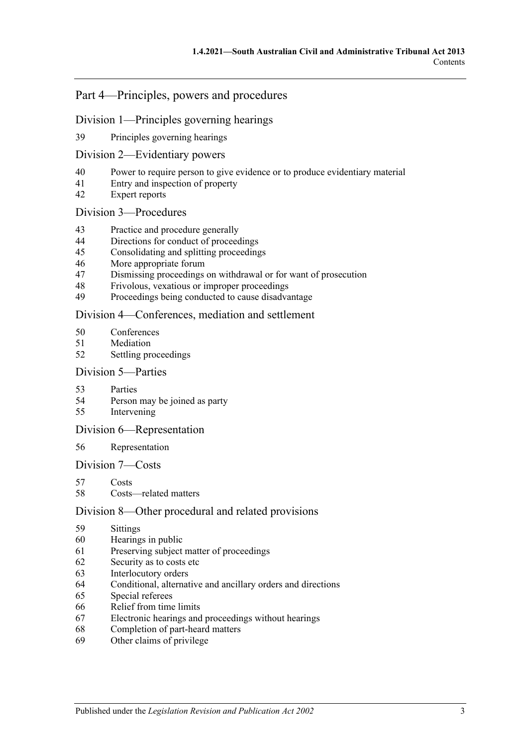# Part [4—Principles, powers and procedures](#page-28-1)

### Division [1—Principles governing hearings](#page-28-2)

[Principles governing hearings](#page-28-3)

### Division [2—Evidentiary powers](#page-29-0)

- [Power to require person to give evidence or to produce evidentiary material](#page-29-1)
- [Entry and inspection of property](#page-30-0)
- [Expert reports](#page-30-1)

### Division [3—Procedures](#page-30-2)

- [Practice and procedure generally](#page-30-3)
- [Directions for conduct of proceedings](#page-31-0)
- [Consolidating and splitting proceedings](#page-31-1)
- [More appropriate forum](#page-31-2)
- [Dismissing proceedings on withdrawal or for want of prosecution](#page-31-3)
- [Frivolous, vexatious or improper proceedings](#page-32-0)
- [Proceedings being conducted to cause disadvantage](#page-32-1)

### Division [4—Conferences, mediation and settlement](#page-33-0)

- [Conferences](#page-33-1)
- [Mediation](#page-34-0)
- [Settling proceedings](#page-35-0)

### Division [5—Parties](#page-36-0)

- [Parties](#page-36-1)
- [Person may be joined as party](#page-36-2)
- [Intervening](#page-36-3)

### Division [6—Representation](#page-37-0)

### [Representation](#page-37-1)

### Division [7—Costs](#page-37-2)

- [Costs](#page-37-3)
- [Costs—related matters](#page-38-0)

### Division [8—Other procedural and related provisions](#page-38-1)

- [Sittings](#page-38-2)
- [Hearings in public](#page-38-3)
- [Preserving subject matter of proceedings](#page-39-0)
- [Security as to costs etc](#page-40-0)
- [Interlocutory orders](#page-40-1)
- [Conditional, alternative and ancillary orders and directions](#page-40-2)
- [Special referees](#page-40-3)
- [Relief from time limits](#page-41-0)
- [Electronic hearings and proceedings without hearings](#page-41-1)
- [Completion of part-heard matters](#page-41-2)
- [Other claims of privilege](#page-41-3)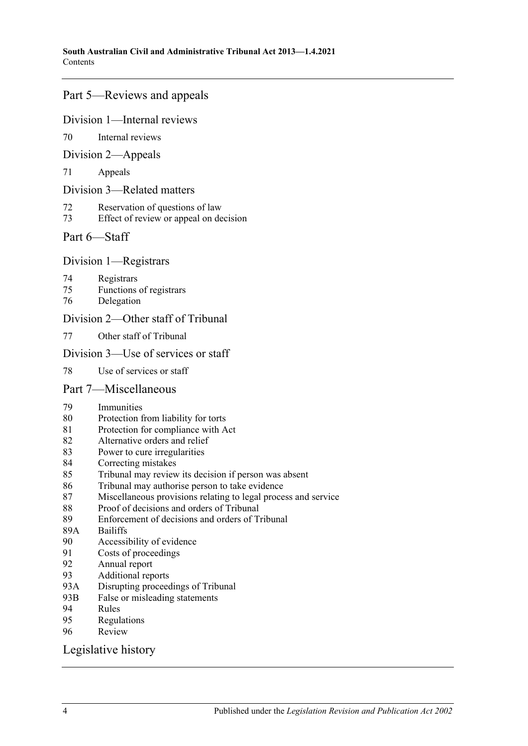# Part [5—Reviews and appeals](#page-41-4)

### Division [1—Internal reviews](#page-41-5)

[Internal reviews](#page-41-6)

### Division [2—Appeals](#page-42-0)

[Appeals](#page-42-1)

### Division [3—Related matters](#page-44-0)

- [Reservation of questions of law](#page-44-1)
- [Effect of review or appeal on decision](#page-44-2)

# Part [6—Staff](#page-44-3)

### Division [1—Registrars](#page-44-4)

- [Registrars](#page-44-5)
- [Functions of registrars](#page-45-0)
- [Delegation](#page-45-1)

# Division [2—Other staff of Tribunal](#page-46-0)

[Other staff of Tribunal](#page-46-1)

### Division [3—Use of services or staff](#page-46-2)

[Use of services or staff](#page-46-3)

### Part [7—Miscellaneous](#page-46-4)

- [Immunities](#page-46-5)
- [Protection from liability for torts](#page-46-6)
- [Protection for compliance with Act](#page-47-0)
- [Alternative orders and relief](#page-47-1)
- [Power to cure irregularities](#page-47-2)
- [Correcting mistakes](#page-47-3)
- [Tribunal may review its decision if person was absent](#page-48-0)
- [Tribunal may authorise person to take evidence](#page-48-1)
- [Miscellaneous provisions relating to legal process and service](#page-48-2)
- [Proof of decisions and orders of Tribunal](#page-49-0)
- [Enforcement of decisions and orders of Tribunal](#page-49-1)
- 89A [Bailiffs](#page-49-2)<br>90 Accessi
- [Accessibility of evidence](#page-50-0)
- [Costs of proceedings](#page-50-1)
- [Annual report](#page-51-0)
- [Additional reports](#page-51-1)<br>93A Disrupting process
- [Disrupting proceedings of Tribunal](#page-51-2)
- 93B [False or misleading statements](#page-51-3)
- [Rules](#page-51-4)
- [Regulations](#page-52-0)
- [Review](#page-53-0)

### [Legislative history](#page-54-0)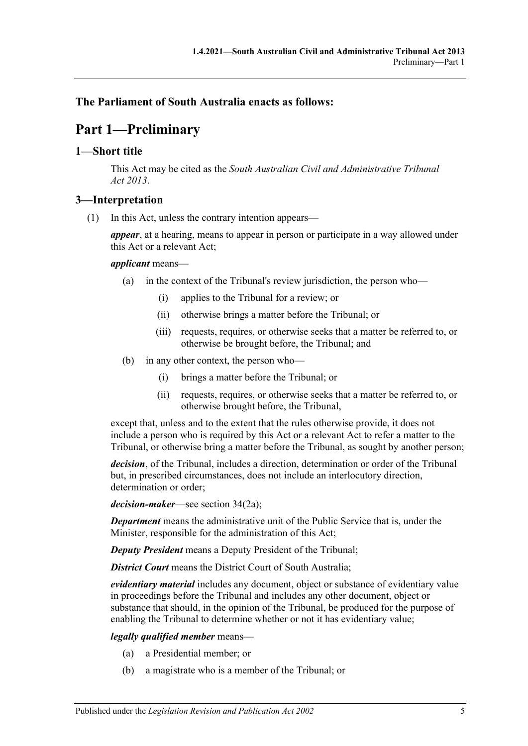# <span id="page-4-0"></span>**The Parliament of South Australia enacts as follows:**

# **Part 1—Preliminary**

## <span id="page-4-1"></span>**1—Short title**

This Act may be cited as the *South Australian Civil and Administrative Tribunal Act 2013*.

# <span id="page-4-2"></span>**3—Interpretation**

(1) In this Act, unless the contrary intention appears—

*appear*, at a hearing, means to appear in person or participate in a way allowed under this Act or a relevant Act;

### *applicant* means—

- (a) in the context of the Tribunal's review jurisdiction, the person who—
	- (i) applies to the Tribunal for a review; or
	- (ii) otherwise brings a matter before the Tribunal; or
	- (iii) requests, requires, or otherwise seeks that a matter be referred to, or otherwise be brought before, the Tribunal; and
- (b) in any other context, the person who—
	- (i) brings a matter before the Tribunal; or
	- (ii) requests, requires, or otherwise seeks that a matter be referred to, or otherwise brought before, the Tribunal,

except that, unless and to the extent that the rules otherwise provide, it does not include a person who is required by this Act or a relevant Act to refer a matter to the Tribunal, or otherwise bring a matter before the Tribunal, as sought by another person;

*decision*, of the Tribunal, includes a direction, determination or order of the Tribunal but, in prescribed circumstances, does not include an interlocutory direction, determination or order;

*decision-maker*—see section 34(2a);

*Department* means the administrative unit of the Public Service that is, under the Minister, responsible for the administration of this Act;

*Deputy President* means a Deputy President of the Tribunal;

*District Court* means the District Court of South Australia;

*evidentiary material* includes any document, object or substance of evidentiary value in proceedings before the Tribunal and includes any other document, object or substance that should, in the opinion of the Tribunal, be produced for the purpose of enabling the Tribunal to determine whether or not it has evidentiary value;

### *legally qualified member* means—

- (a) a Presidential member; or
- (b) a magistrate who is a member of the Tribunal; or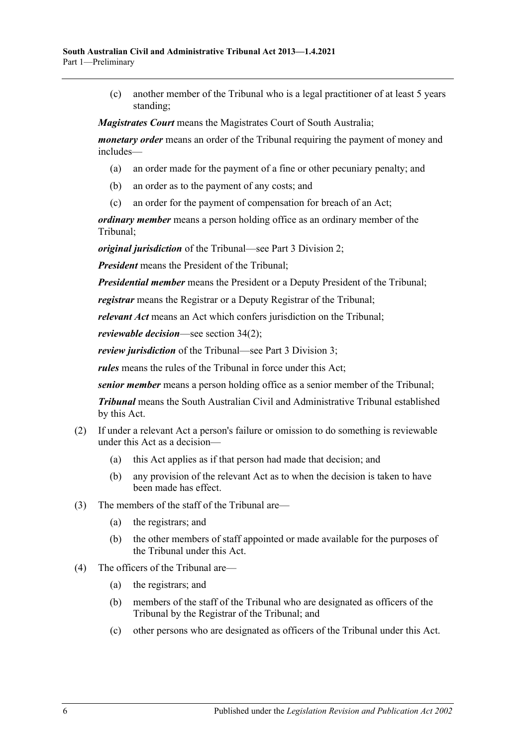(c) another member of the Tribunal who is a legal practitioner of at least 5 years standing;

*Magistrates Court* means the Magistrates Court of South Australia;

*monetary order* means an order of the Tribunal requiring the payment of money and includes—

- (a) an order made for the payment of a fine or other pecuniary penalty; and
- (b) an order as to the payment of any costs; and
- (c) an order for the payment of compensation for breach of an Act;

*ordinary member* means a person holding office as an ordinary member of the Tribunal;

*original jurisdiction* of the Tribunal—see Part [3 Division](#page-21-1) 2;

*President* means the President of the Tribunal;

*Presidential member* means the President or a Deputy President of the Tribunal;

*registrar* means the Registrar or a Deputy Registrar of the Tribunal;

*relevant Act* means an Act which confers jurisdiction on the Tribunal;

*reviewable decision*—see section 34(2);

*review jurisdiction* of the Tribunal—see Part [3 Division](#page-21-3) 3;

*rules* means the rules of the Tribunal in force under this Act;

*senior member* means a person holding office as a senior member of the Tribunal;

*Tribunal* means the South Australian Civil and Administrative Tribunal established by this Act.

- (2) If under a relevant Act a person's failure or omission to do something is reviewable under this Act as a decision—
	- (a) this Act applies as if that person had made that decision; and
	- (b) any provision of the relevant Act as to when the decision is taken to have been made has effect.
- (3) The members of the staff of the Tribunal are—
	- (a) the registrars; and
	- (b) the other members of staff appointed or made available for the purposes of the Tribunal under this Act.
- (4) The officers of the Tribunal are—
	- (a) the registrars; and
	- (b) members of the staff of the Tribunal who are designated as officers of the Tribunal by the Registrar of the Tribunal; and
	- (c) other persons who are designated as officers of the Tribunal under this Act.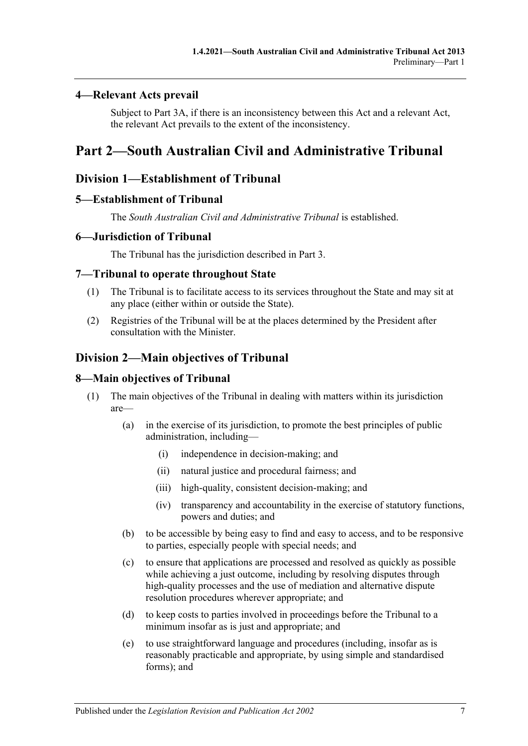### <span id="page-6-0"></span>**4—Relevant Acts prevail**

Subject to [Part 3A,](#page-25-0) if there is an inconsistency between this Act and a relevant Act, the relevant Act prevails to the extent of the inconsistency.

# <span id="page-6-2"></span><span id="page-6-1"></span>**Part 2—South Australian Civil and Administrative Tribunal**

# **Division 1—Establishment of Tribunal**

### <span id="page-6-3"></span>**5—Establishment of Tribunal**

The *South Australian Civil and Administrative Tribunal* is established.

### <span id="page-6-4"></span>**6—Jurisdiction of Tribunal**

The Tribunal has the jurisdiction described in [Part](#page-20-2) 3.

### <span id="page-6-5"></span>**7—Tribunal to operate throughout State**

- (1) The Tribunal is to facilitate access to its services throughout the State and may sit at any place (either within or outside the State).
- (2) Registries of the Tribunal will be at the places determined by the President after consultation with the Minister.

# <span id="page-6-6"></span>**Division 2—Main objectives of Tribunal**

### <span id="page-6-7"></span>**8—Main objectives of Tribunal**

- (1) The main objectives of the Tribunal in dealing with matters within its jurisdiction are—
	- (a) in the exercise of its jurisdiction, to promote the best principles of public administration, including—
		- (i) independence in decision-making; and
		- (ii) natural justice and procedural fairness; and
		- (iii) high-quality, consistent decision-making; and
		- (iv) transparency and accountability in the exercise of statutory functions, powers and duties; and
	- (b) to be accessible by being easy to find and easy to access, and to be responsive to parties, especially people with special needs; and
	- (c) to ensure that applications are processed and resolved as quickly as possible while achieving a just outcome, including by resolving disputes through high-quality processes and the use of mediation and alternative dispute resolution procedures wherever appropriate; and
	- (d) to keep costs to parties involved in proceedings before the Tribunal to a minimum insofar as is just and appropriate; and
	- (e) to use straightforward language and procedures (including, insofar as is reasonably practicable and appropriate, by using simple and standardised forms); and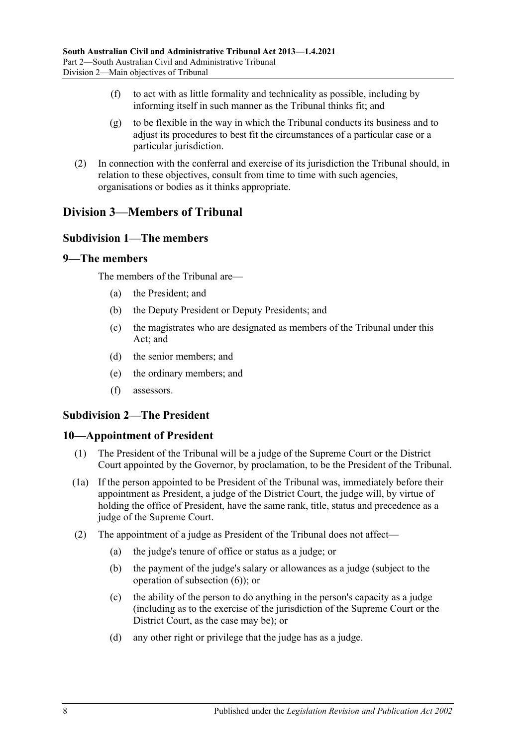- (f) to act with as little formality and technicality as possible, including by informing itself in such manner as the Tribunal thinks fit; and
- (g) to be flexible in the way in which the Tribunal conducts its business and to adjust its procedures to best fit the circumstances of a particular case or a particular jurisdiction.
- (2) In connection with the conferral and exercise of its jurisdiction the Tribunal should, in relation to these objectives, consult from time to time with such agencies, organisations or bodies as it thinks appropriate.

# <span id="page-7-1"></span><span id="page-7-0"></span>**Division 3—Members of Tribunal**

### **Subdivision 1—The members**

### <span id="page-7-2"></span>**9—The members**

The members of the Tribunal are—

- (a) the President; and
- (b) the Deputy President or Deputy Presidents; and
- (c) the magistrates who are designated as members of the Tribunal under this Act; and
- (d) the senior members; and
- (e) the ordinary members; and
- (f) assessors.

### <span id="page-7-3"></span>**Subdivision 2—The President**

### <span id="page-7-4"></span>**10—Appointment of President**

- (1) The President of the Tribunal will be a judge of the Supreme Court or the District Court appointed by the Governor, by proclamation, to be the President of the Tribunal.
- (1a) If the person appointed to be President of the Tribunal was, immediately before their appointment as President, a judge of the District Court, the judge will, by virtue of holding the office of President, have the same rank, title, status and precedence as a judge of the Supreme Court.
- <span id="page-7-5"></span>(2) The appointment of a judge as President of the Tribunal does not affect—
	- (a) the judge's tenure of office or status as a judge; or
	- (b) the payment of the judge's salary or allowances as a judge (subject to the operation of [subsection](#page-8-1) (6)); or
	- (c) the ability of the person to do anything in the person's capacity as a judge (including as to the exercise of the jurisdiction of the Supreme Court or the District Court, as the case may be); or
	- (d) any other right or privilege that the judge has as a judge.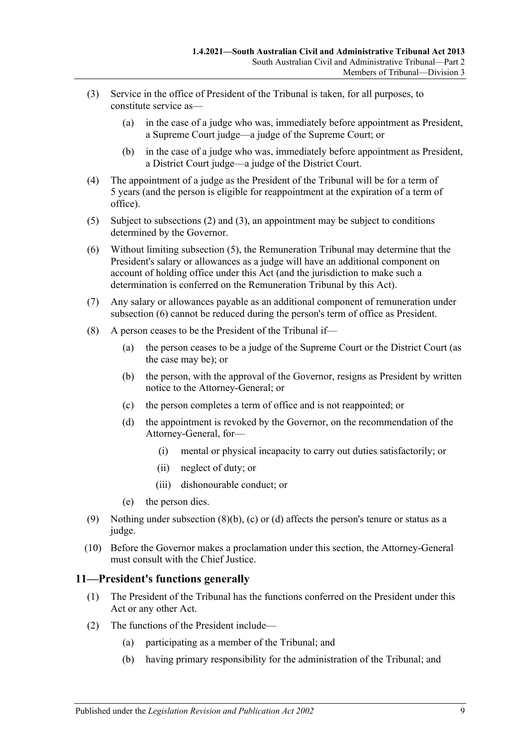- (3) Service in the office of President of the Tribunal is taken, for all purposes, to constitute service as—
	- (a) in the case of a judge who was, immediately before appointment as President, a Supreme Court judge—a judge of the Supreme Court; or
	- (b) in the case of a judge who was, immediately before appointment as President, a District Court judge—a judge of the District Court.
- (4) The appointment of a judge as the President of the Tribunal will be for a term of 5 years (and the person is eligible for reappointment at the expiration of a term of office).
- <span id="page-8-2"></span>(5) Subject to [subsections](#page-7-5) (2) and (3), an appointment may be subject to conditions determined by the Governor.
- <span id="page-8-1"></span>(6) Without limiting [subsection](#page-8-2) (5), the Remuneration Tribunal may determine that the President's salary or allowances as a judge will have an additional component on account of holding office under this Act (and the jurisdiction to make such a determination is conferred on the Remuneration Tribunal by this Act).
- (7) Any salary or allowances payable as an additional component of remuneration under [subsection](#page-8-1) (6) cannot be reduced during the person's term of office as President.
- <span id="page-8-5"></span><span id="page-8-4"></span><span id="page-8-3"></span>(8) A person ceases to be the President of the Tribunal if—
	- (a) the person ceases to be a judge of the Supreme Court or the District Court (as the case may be); or
	- (b) the person, with the approval of the Governor, resigns as President by written notice to the Attorney-General; or
	- (c) the person completes a term of office and is not reappointed; or
	- (d) the appointment is revoked by the Governor, on the recommendation of the Attorney-General, for—
		- (i) mental or physical incapacity to carry out duties satisfactorily; or
		- (ii) neglect of duty; or
		- (iii) dishonourable conduct; or
	- (e) the person dies.
- (9) Nothing under [subsection](#page-8-3)  $(8)(b)$ , [\(c\)](#page-8-4) or [\(d\)](#page-8-5) affects the person's tenure or status as a judge.
- (10) Before the Governor makes a proclamation under this section, the Attorney-General must consult with the Chief Justice.

### <span id="page-8-0"></span>**11—President's functions generally**

- (1) The President of the Tribunal has the functions conferred on the President under this Act or any other Act.
- (2) The functions of the President include—
	- (a) participating as a member of the Tribunal; and
	- (b) having primary responsibility for the administration of the Tribunal; and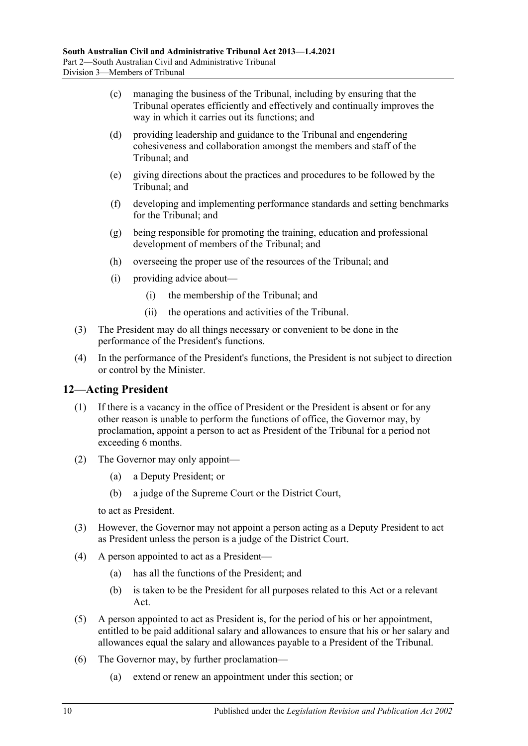- (c) managing the business of the Tribunal, including by ensuring that the Tribunal operates efficiently and effectively and continually improves the way in which it carries out its functions; and
- (d) providing leadership and guidance to the Tribunal and engendering cohesiveness and collaboration amongst the members and staff of the Tribunal; and
- (e) giving directions about the practices and procedures to be followed by the Tribunal; and
- (f) developing and implementing performance standards and setting benchmarks for the Tribunal; and
- (g) being responsible for promoting the training, education and professional development of members of the Tribunal; and
- (h) overseeing the proper use of the resources of the Tribunal; and
- (i) providing advice about—
	- (i) the membership of the Tribunal; and
	- (ii) the operations and activities of the Tribunal.
- (3) The President may do all things necessary or convenient to be done in the performance of the President's functions.
- (4) In the performance of the President's functions, the President is not subject to direction or control by the Minister.

# <span id="page-9-0"></span>**12—Acting President**

- (1) If there is a vacancy in the office of President or the President is absent or for any other reason is unable to perform the functions of office, the Governor may, by proclamation, appoint a person to act as President of the Tribunal for a period not exceeding 6 months.
- (2) The Governor may only appoint—
	- (a) a Deputy President; or
	- (b) a judge of the Supreme Court or the District Court,

to act as President.

- (3) However, the Governor may not appoint a person acting as a Deputy President to act as President unless the person is a judge of the District Court.
- (4) A person appointed to act as a President—
	- (a) has all the functions of the President; and
	- (b) is taken to be the President for all purposes related to this Act or a relevant Act.
- (5) A person appointed to act as President is, for the period of his or her appointment, entitled to be paid additional salary and allowances to ensure that his or her salary and allowances equal the salary and allowances payable to a President of the Tribunal.
- (6) The Governor may, by further proclamation—
	- (a) extend or renew an appointment under this section; or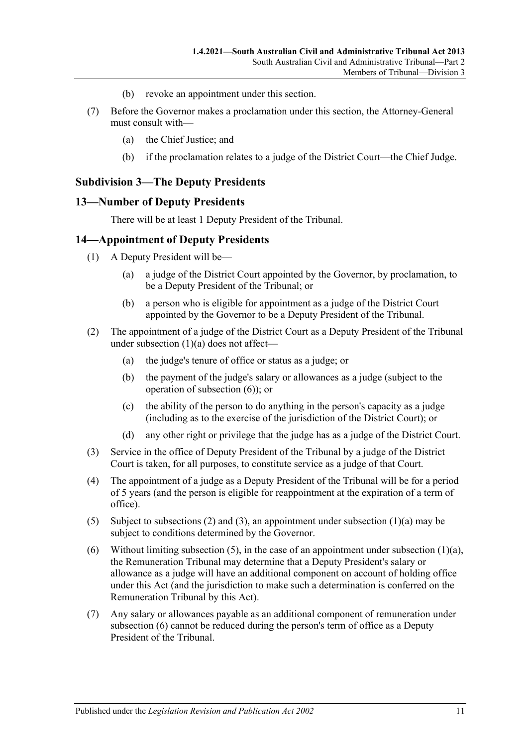- (b) revoke an appointment under this section.
- (7) Before the Governor makes a proclamation under this section, the Attorney-General must consult with—
	- (a) the Chief Justice; and
	- (b) if the proclamation relates to a judge of the District Court—the Chief Judge.

### <span id="page-10-0"></span>**Subdivision 3—The Deputy Presidents**

#### <span id="page-10-1"></span>**13—Number of Deputy Presidents**

There will be at least 1 Deputy President of the Tribunal.

### <span id="page-10-2"></span>**14—Appointment of Deputy Presidents**

- <span id="page-10-3"></span>(1) A Deputy President will be—
	- (a) a judge of the District Court appointed by the Governor, by proclamation, to be a Deputy President of the Tribunal; or
	- (b) a person who is eligible for appointment as a judge of the District Court appointed by the Governor to be a Deputy President of the Tribunal.
- <span id="page-10-8"></span><span id="page-10-5"></span>(2) The appointment of a judge of the District Court as a Deputy President of the Tribunal under [subsection](#page-10-3) (1)(a) does not affect—
	- (a) the judge's tenure of office or status as a judge; or
	- (b) the payment of the judge's salary or allowances as a judge (subject to the operation of [subsection](#page-10-4) (6)); or
	- (c) the ability of the person to do anything in the person's capacity as a judge (including as to the exercise of the jurisdiction of the District Court); or
	- (d) any other right or privilege that the judge has as a judge of the District Court.
- <span id="page-10-6"></span>(3) Service in the office of Deputy President of the Tribunal by a judge of the District Court is taken, for all purposes, to constitute service as a judge of that Court.
- (4) The appointment of a judge as a Deputy President of the Tribunal will be for a period of 5 years (and the person is eligible for reappointment at the expiration of a term of office).
- <span id="page-10-7"></span>(5) Subject to [subsections \(2\)](#page-10-5) and [\(3\),](#page-10-6) an appointment under [subsection](#page-10-3)  $(1)(a)$  may be subject to conditions determined by the Governor.
- <span id="page-10-4"></span>(6) Without limiting [subsection](#page-10-3) (5), in the case of an appointment under subsection  $(1)(a)$ , the Remuneration Tribunal may determine that a Deputy President's salary or allowance as a judge will have an additional component on account of holding office under this Act (and the jurisdiction to make such a determination is conferred on the Remuneration Tribunal by this Act).
- (7) Any salary or allowances payable as an additional component of remuneration under [subsection](#page-10-4) (6) cannot be reduced during the person's term of office as a Deputy President of the Tribunal.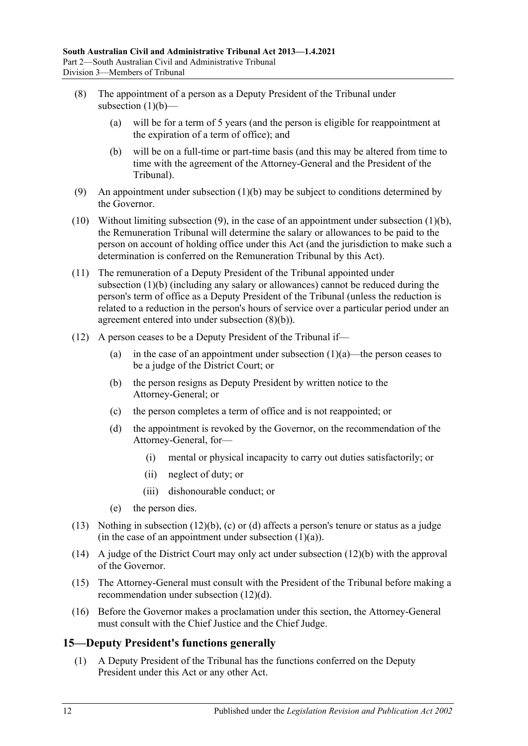- (8) The appointment of a person as a Deputy President of the Tribunal under [subsection](#page-10-8) (1)(b)—
	- (a) will be for a term of 5 years (and the person is eligible for reappointment at the expiration of a term of office); and
	- (b) will be on a full-time or part-time basis (and this may be altered from time to time with the agreement of the Attorney-General and the President of the Tribunal).
- <span id="page-11-2"></span><span id="page-11-1"></span>(9) An appointment under [subsection](#page-10-8) (1)(b) may be subject to conditions determined by the Governor.
- (10) Without limiting [subsection](#page-11-1) (9), in the case of an appointment under [subsection](#page-10-8) (1)(b), the Remuneration Tribunal will determine the salary or allowances to be paid to the person on account of holding office under this Act (and the jurisdiction to make such a determination is conferred on the Remuneration Tribunal by this Act).
- (11) The remuneration of a Deputy President of the Tribunal appointed under [subsection](#page-10-8) (1)(b) (including any salary or allowances) cannot be reduced during the person's term of office as a Deputy President of the Tribunal (unless the reduction is related to a reduction in the person's hours of service over a particular period under an agreement entered into under [subsection](#page-11-2) (8)(b)).
- <span id="page-11-5"></span><span id="page-11-4"></span><span id="page-11-3"></span>(12) A person ceases to be a Deputy President of the Tribunal if
	- (a) in the case of an appointment under [subsection](#page-10-3)  $(1)(a)$ —the person ceases to be a judge of the District Court; or
	- (b) the person resigns as Deputy President by written notice to the Attorney-General; or
	- (c) the person completes a term of office and is not reappointed; or
	- (d) the appointment is revoked by the Governor, on the recommendation of the Attorney-General, for—
		- (i) mental or physical incapacity to carry out duties satisfactorily; or
		- (ii) neglect of duty; or
		- (iii) dishonourable conduct; or
	- (e) the person dies.
- (13) Nothing in [subsection](#page-11-3) (12)(b), [\(c\)](#page-11-4) or [\(d\)](#page-11-5) affects a person's tenure or status as a judge (in the case of an appointment under [subsection](#page-10-3)  $(1)(a)$ ).
- (14) A judge of the District Court may only act under [subsection](#page-11-3) (12)(b) with the approval of the Governor.
- (15) The Attorney-General must consult with the President of the Tribunal before making a recommendation under [subsection](#page-11-5) (12)(d).
- (16) Before the Governor makes a proclamation under this section, the Attorney-General must consult with the Chief Justice and the Chief Judge.

### <span id="page-11-0"></span>**15—Deputy President's functions generally**

(1) A Deputy President of the Tribunal has the functions conferred on the Deputy President under this Act or any other Act.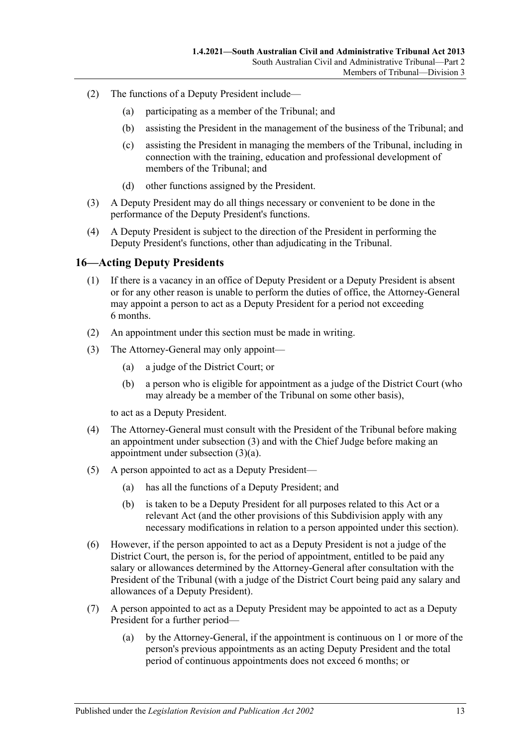- (2) The functions of a Deputy President include—
	- (a) participating as a member of the Tribunal; and
	- (b) assisting the President in the management of the business of the Tribunal; and
	- (c) assisting the President in managing the members of the Tribunal, including in connection with the training, education and professional development of members of the Tribunal; and
	- (d) other functions assigned by the President.
- (3) A Deputy President may do all things necessary or convenient to be done in the performance of the Deputy President's functions.
- (4) A Deputy President is subject to the direction of the President in performing the Deputy President's functions, other than adjudicating in the Tribunal.

### <span id="page-12-0"></span>**16—Acting Deputy Presidents**

- (1) If there is a vacancy in an office of Deputy President or a Deputy President is absent or for any other reason is unable to perform the duties of office, the Attorney-General may appoint a person to act as a Deputy President for a period not exceeding 6 months.
- (2) An appointment under this section must be made in writing.
- <span id="page-12-2"></span><span id="page-12-1"></span>(3) The Attorney-General may only appoint—
	- (a) a judge of the District Court; or
	- (b) a person who is eligible for appointment as a judge of the District Court (who may already be a member of the Tribunal on some other basis),

to act as a Deputy President.

- (4) The Attorney-General must consult with the President of the Tribunal before making an appointment under [subsection](#page-12-1) (3) and with the Chief Judge before making an appointment under [subsection](#page-12-2) (3)(a).
- (5) A person appointed to act as a Deputy President—
	- (a) has all the functions of a Deputy President; and
	- (b) is taken to be a Deputy President for all purposes related to this Act or a relevant Act (and the other provisions of this Subdivision apply with any necessary modifications in relation to a person appointed under this section).
- (6) However, if the person appointed to act as a Deputy President is not a judge of the District Court, the person is, for the period of appointment, entitled to be paid any salary or allowances determined by the Attorney-General after consultation with the President of the Tribunal (with a judge of the District Court being paid any salary and allowances of a Deputy President).
- (7) A person appointed to act as a Deputy President may be appointed to act as a Deputy President for a further period—
	- (a) by the Attorney-General, if the appointment is continuous on 1 or more of the person's previous appointments as an acting Deputy President and the total period of continuous appointments does not exceed 6 months; or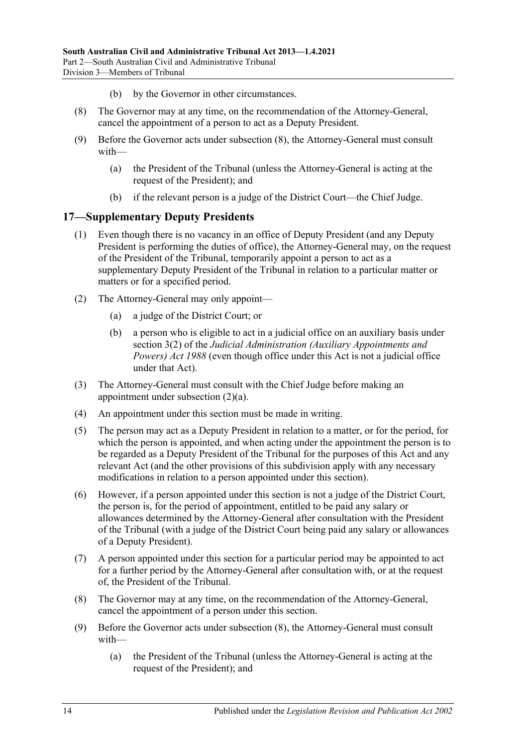- (b) by the Governor in other circumstances.
- <span id="page-13-1"></span>(8) The Governor may at any time, on the recommendation of the Attorney-General, cancel the appointment of a person to act as a Deputy President.
- (9) Before the Governor acts under [subsection](#page-13-1) (8), the Attorney-General must consult with—
	- (a) the President of the Tribunal (unless the Attorney-General is acting at the request of the President); and
	- (b) if the relevant person is a judge of the District Court—the Chief Judge.

### <span id="page-13-0"></span>**17—Supplementary Deputy Presidents**

- (1) Even though there is no vacancy in an office of Deputy President (and any Deputy President is performing the duties of office), the Attorney-General may, on the request of the President of the Tribunal, temporarily appoint a person to act as a supplementary Deputy President of the Tribunal in relation to a particular matter or matters or for a specified period.
- <span id="page-13-2"></span>(2) The Attorney-General may only appoint—
	- (a) a judge of the District Court; or
	- (b) a person who is eligible to act in a judicial office on an auxiliary basis under section 3(2) of the *[Judicial Administration \(Auxiliary](http://www.legislation.sa.gov.au/index.aspx?action=legref&type=act&legtitle=Judicial%20Administration%20(Auxiliary%20Appointments%20and%20Powers)%20Act%201988) Appointments and [Powers\) Act](http://www.legislation.sa.gov.au/index.aspx?action=legref&type=act&legtitle=Judicial%20Administration%20(Auxiliary%20Appointments%20and%20Powers)%20Act%201988) 1988* (even though office under this Act is not a judicial office under that Act).
- (3) The Attorney-General must consult with the Chief Judge before making an appointment under [subsection](#page-13-2) (2)(a).
- (4) An appointment under this section must be made in writing.
- (5) The person may act as a Deputy President in relation to a matter, or for the period, for which the person is appointed, and when acting under the appointment the person is to be regarded as a Deputy President of the Tribunal for the purposes of this Act and any relevant Act (and the other provisions of this subdivision apply with any necessary modifications in relation to a person appointed under this section).
- (6) However, if a person appointed under this section is not a judge of the District Court, the person is, for the period of appointment, entitled to be paid any salary or allowances determined by the Attorney-General after consultation with the President of the Tribunal (with a judge of the District Court being paid any salary or allowances of a Deputy President).
- (7) A person appointed under this section for a particular period may be appointed to act for a further period by the Attorney-General after consultation with, or at the request of, the President of the Tribunal.
- <span id="page-13-3"></span>(8) The Governor may at any time, on the recommendation of the Attorney-General, cancel the appointment of a person under this section.
- (9) Before the Governor acts under [subsection](#page-13-3) (8), the Attorney-General must consult with—
	- (a) the President of the Tribunal (unless the Attorney-General is acting at the request of the President); and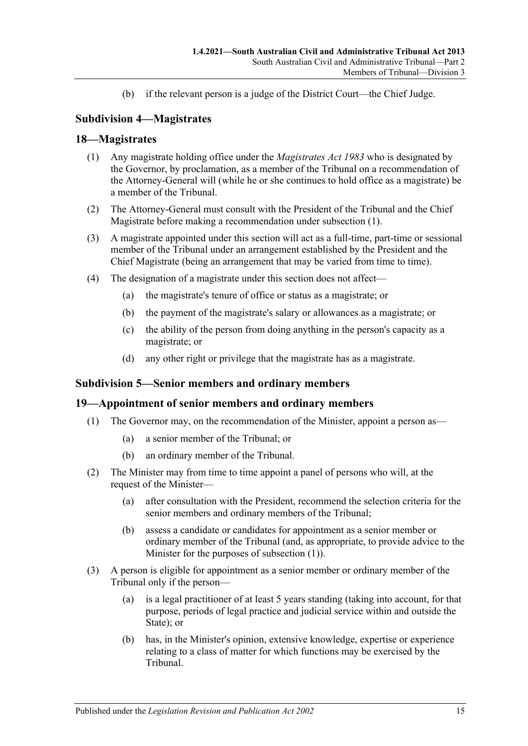(b) if the relevant person is a judge of the District Court—the Chief Judge.

# <span id="page-14-0"></span>**Subdivision 4—Magistrates**

### <span id="page-14-4"></span><span id="page-14-1"></span>**18—Magistrates**

- (1) Any magistrate holding office under the *[Magistrates Act](http://www.legislation.sa.gov.au/index.aspx?action=legref&type=act&legtitle=Magistrates%20Act%201983) 1983* who is designated by the Governor, by proclamation, as a member of the Tribunal on a recommendation of the Attorney-General will (while he or she continues to hold office as a magistrate) be a member of the Tribunal.
- (2) The Attorney-General must consult with the President of the Tribunal and the Chief Magistrate before making a recommendation under [subsection](#page-14-4) (1).
- (3) A magistrate appointed under this section will act as a full-time, part-time or sessional member of the Tribunal under an arrangement established by the President and the Chief Magistrate (being an arrangement that may be varied from time to time).
- (4) The designation of a magistrate under this section does not affect—
	- (a) the magistrate's tenure of office or status as a magistrate; or
	- (b) the payment of the magistrate's salary or allowances as a magistrate; or
	- (c) the ability of the person from doing anything in the person's capacity as a magistrate; or
	- (d) any other right or privilege that the magistrate has as a magistrate.

### <span id="page-14-2"></span>**Subdivision 5—Senior members and ordinary members**

### <span id="page-14-5"></span><span id="page-14-3"></span>**19—Appointment of senior members and ordinary members**

- (1) The Governor may, on the recommendation of the Minister, appoint a person as—
	- (a) a senior member of the Tribunal; or
	- (b) an ordinary member of the Tribunal.
- <span id="page-14-8"></span><span id="page-14-6"></span>(2) The Minister may from time to time appoint a panel of persons who will, at the request of the Minister—
	- (a) after consultation with the President, recommend the selection criteria for the senior members and ordinary members of the Tribunal;
	- (b) assess a candidate or candidates for appointment as a senior member or ordinary member of the Tribunal (and, as appropriate, to provide advice to the Minister for the purposes of [subsection](#page-14-5) (1)).
- <span id="page-14-7"></span>(3) A person is eligible for appointment as a senior member or ordinary member of the Tribunal only if the person—
	- (a) is a legal practitioner of at least 5 years standing (taking into account, for that purpose, periods of legal practice and judicial service within and outside the State); or
	- (b) has, in the Minister's opinion, extensive knowledge, expertise or experience relating to a class of matter for which functions may be exercised by the Tribunal.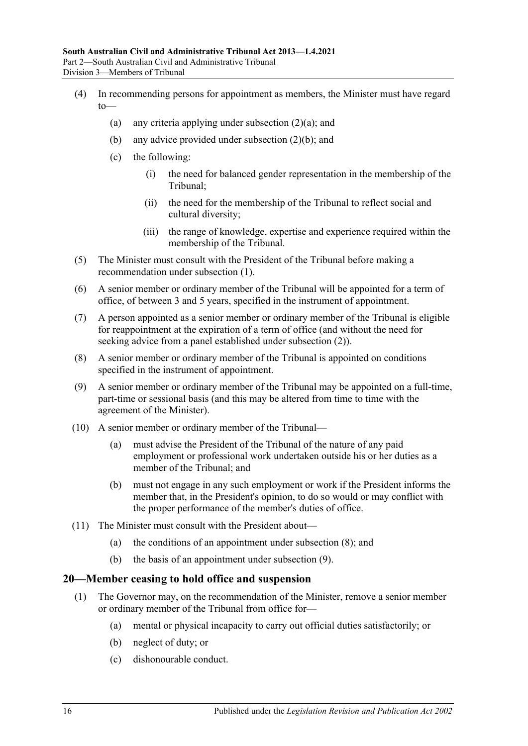- (4) In recommending persons for appointment as members, the Minister must have regard  $to$ 
	- (a) any criteria applying under [subsection](#page-14-6)  $(2)(a)$ ; and
	- (b) any advice provided under [subsection](#page-14-7) (2)(b); and
	- (c) the following:
		- (i) the need for balanced gender representation in the membership of the Tribunal;
		- (ii) the need for the membership of the Tribunal to reflect social and cultural diversity;
		- (iii) the range of knowledge, expertise and experience required within the membership of the Tribunal.
- (5) The Minister must consult with the President of the Tribunal before making a recommendation under [subsection](#page-14-5) (1).
- (6) A senior member or ordinary member of the Tribunal will be appointed for a term of office, of between 3 and 5 years, specified in the instrument of appointment.
- (7) A person appointed as a senior member or ordinary member of the Tribunal is eligible for reappointment at the expiration of a term of office (and without the need for seeking advice from a panel established under [subsection](#page-14-8) (2)).
- <span id="page-15-1"></span>(8) A senior member or ordinary member of the Tribunal is appointed on conditions specified in the instrument of appointment.
- <span id="page-15-2"></span>(9) A senior member or ordinary member of the Tribunal may be appointed on a full-time, part-time or sessional basis (and this may be altered from time to time with the agreement of the Minister).
- (10) A senior member or ordinary member of the Tribunal—
	- (a) must advise the President of the Tribunal of the nature of any paid employment or professional work undertaken outside his or her duties as a member of the Tribunal; and
	- (b) must not engage in any such employment or work if the President informs the member that, in the President's opinion, to do so would or may conflict with the proper performance of the member's duties of office.
- (11) The Minister must consult with the President about—
	- (a) the conditions of an appointment under [subsection](#page-15-1) (8); and
	- (b) the basis of an appointment under [subsection](#page-15-2) (9).

### <span id="page-15-3"></span><span id="page-15-0"></span>**20—Member ceasing to hold office and suspension**

- (1) The Governor may, on the recommendation of the Minister, remove a senior member or ordinary member of the Tribunal from office for—
	- (a) mental or physical incapacity to carry out official duties satisfactorily; or
	- (b) neglect of duty; or
	- (c) dishonourable conduct.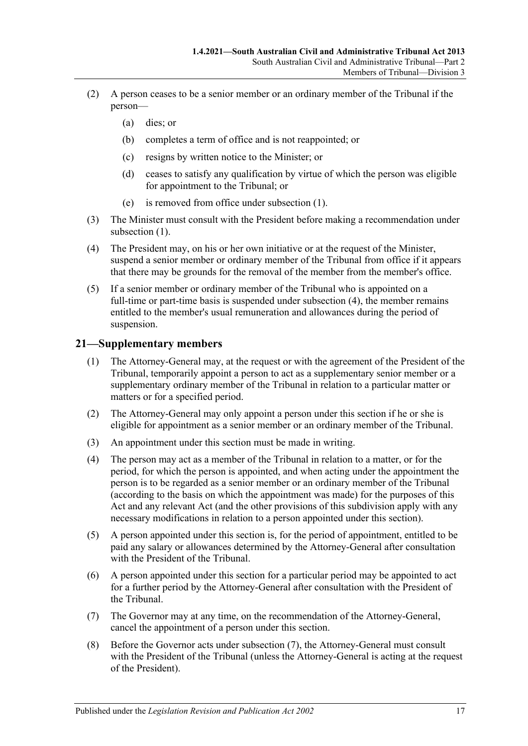- (2) A person ceases to be a senior member or an ordinary member of the Tribunal if the person—
	- (a) dies; or
	- (b) completes a term of office and is not reappointed; or
	- (c) resigns by written notice to the Minister; or
	- (d) ceases to satisfy any qualification by virtue of which the person was eligible for appointment to the Tribunal; or
	- (e) is removed from office under [subsection](#page-15-3) (1).
- (3) The Minister must consult with the President before making a recommendation under [subsection](#page-15-3)  $(1)$ .
- <span id="page-16-1"></span>(4) The President may, on his or her own initiative or at the request of the Minister, suspend a senior member or ordinary member of the Tribunal from office if it appears that there may be grounds for the removal of the member from the member's office.
- (5) If a senior member or ordinary member of the Tribunal who is appointed on a full-time or part-time basis is suspended under [subsection](#page-16-1) (4), the member remains entitled to the member's usual remuneration and allowances during the period of suspension.

# <span id="page-16-0"></span>**21—Supplementary members**

- (1) The Attorney-General may, at the request or with the agreement of the President of the Tribunal, temporarily appoint a person to act as a supplementary senior member or a supplementary ordinary member of the Tribunal in relation to a particular matter or matters or for a specified period.
- (2) The Attorney-General may only appoint a person under this section if he or she is eligible for appointment as a senior member or an ordinary member of the Tribunal.
- (3) An appointment under this section must be made in writing.
- (4) The person may act as a member of the Tribunal in relation to a matter, or for the period, for which the person is appointed, and when acting under the appointment the person is to be regarded as a senior member or an ordinary member of the Tribunal (according to the basis on which the appointment was made) for the purposes of this Act and any relevant Act (and the other provisions of this subdivision apply with any necessary modifications in relation to a person appointed under this section).
- (5) A person appointed under this section is, for the period of appointment, entitled to be paid any salary or allowances determined by the Attorney-General after consultation with the President of the Tribunal.
- (6) A person appointed under this section for a particular period may be appointed to act for a further period by the Attorney-General after consultation with the President of the Tribunal.
- <span id="page-16-2"></span>(7) The Governor may at any time, on the recommendation of the Attorney-General, cancel the appointment of a person under this section.
- (8) Before the Governor acts under [subsection](#page-16-2) (7), the Attorney-General must consult with the President of the Tribunal (unless the Attorney-General is acting at the request of the President).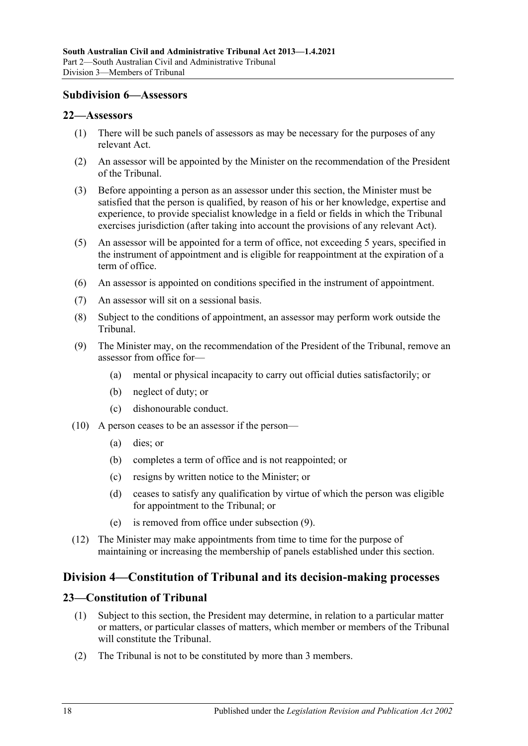### <span id="page-17-0"></span>**Subdivision 6—Assessors**

### <span id="page-17-1"></span>**22—Assessors**

- (1) There will be such panels of assessors as may be necessary for the purposes of any relevant Act.
- (2) An assessor will be appointed by the Minister on the recommendation of the President of the Tribunal.
- (3) Before appointing a person as an assessor under this section, the Minister must be satisfied that the person is qualified, by reason of his or her knowledge, expertise and experience, to provide specialist knowledge in a field or fields in which the Tribunal exercises jurisdiction (after taking into account the provisions of any relevant Act).
- (5) An assessor will be appointed for a term of office, not exceeding 5 years, specified in the instrument of appointment and is eligible for reappointment at the expiration of a term of office.
- (6) An assessor is appointed on conditions specified in the instrument of appointment.
- (7) An assessor will sit on a sessional basis.
- (8) Subject to the conditions of appointment, an assessor may perform work outside the Tribunal.
- <span id="page-17-4"></span>(9) The Minister may, on the recommendation of the President of the Tribunal, remove an assessor from office for—
	- (a) mental or physical incapacity to carry out official duties satisfactorily; or
	- (b) neglect of duty; or
	- (c) dishonourable conduct.
- (10) A person ceases to be an assessor if the person—
	- (a) dies; or
	- (b) completes a term of office and is not reappointed; or
	- (c) resigns by written notice to the Minister; or
	- (d) ceases to satisfy any qualification by virtue of which the person was eligible for appointment to the Tribunal; or
	- (e) is removed from office under [subsection](#page-17-4) (9).
- (12) The Minister may make appointments from time to time for the purpose of maintaining or increasing the membership of panels established under this section.

# <span id="page-17-2"></span>**Division 4—Constitution of Tribunal and its decision-making processes**

### <span id="page-17-3"></span>**23—Constitution of Tribunal**

- (1) Subject to this section, the President may determine, in relation to a particular matter or matters, or particular classes of matters, which member or members of the Tribunal will constitute the Tribunal.
- (2) The Tribunal is not to be constituted by more than 3 members.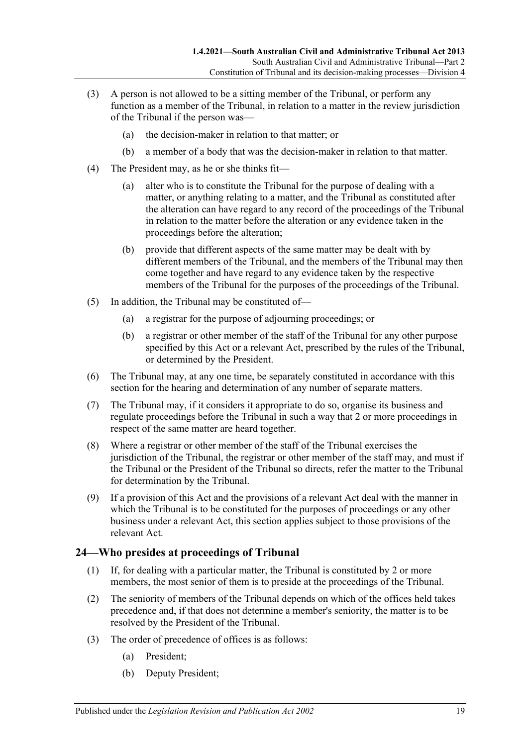- (3) A person is not allowed to be a sitting member of the Tribunal, or perform any function as a member of the Tribunal, in relation to a matter in the review jurisdiction of the Tribunal if the person was—
	- (a) the decision-maker in relation to that matter; or
	- (b) a member of a body that was the decision-maker in relation to that matter.
- (4) The President may, as he or she thinks fit—
	- (a) alter who is to constitute the Tribunal for the purpose of dealing with a matter, or anything relating to a matter, and the Tribunal as constituted after the alteration can have regard to any record of the proceedings of the Tribunal in relation to the matter before the alteration or any evidence taken in the proceedings before the alteration;
	- (b) provide that different aspects of the same matter may be dealt with by different members of the Tribunal, and the members of the Tribunal may then come together and have regard to any evidence taken by the respective members of the Tribunal for the purposes of the proceedings of the Tribunal.
- (5) In addition, the Tribunal may be constituted of—
	- (a) a registrar for the purpose of adjourning proceedings; or
	- (b) a registrar or other member of the staff of the Tribunal for any other purpose specified by this Act or a relevant Act, prescribed by the rules of the Tribunal, or determined by the President.
- (6) The Tribunal may, at any one time, be separately constituted in accordance with this section for the hearing and determination of any number of separate matters.
- (7) The Tribunal may, if it considers it appropriate to do so, organise its business and regulate proceedings before the Tribunal in such a way that 2 or more proceedings in respect of the same matter are heard together.
- (8) Where a registrar or other member of the staff of the Tribunal exercises the jurisdiction of the Tribunal, the registrar or other member of the staff may, and must if the Tribunal or the President of the Tribunal so directs, refer the matter to the Tribunal for determination by the Tribunal.
- (9) If a provision of this Act and the provisions of a relevant Act deal with the manner in which the Tribunal is to be constituted for the purposes of proceedings or any other business under a relevant Act, this section applies subject to those provisions of the relevant Act.

# <span id="page-18-0"></span>**24—Who presides at proceedings of Tribunal**

- (1) If, for dealing with a particular matter, the Tribunal is constituted by 2 or more members, the most senior of them is to preside at the proceedings of the Tribunal.
- (2) The seniority of members of the Tribunal depends on which of the offices held takes precedence and, if that does not determine a member's seniority, the matter is to be resolved by the President of the Tribunal.
- (3) The order of precedence of offices is as follows:
	- (a) President;
	- (b) Deputy President;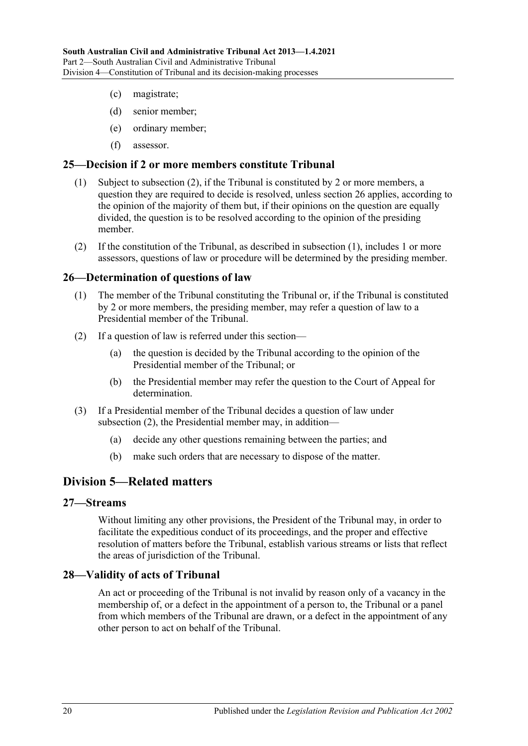- (c) magistrate;
- (d) senior member;
- (e) ordinary member;
- (f) assessor.

### <span id="page-19-6"></span><span id="page-19-0"></span>**25—Decision if 2 or more members constitute Tribunal**

- (1) Subject to [subsection](#page-19-5) (2), if the Tribunal is constituted by 2 or more members, a question they are required to decide is resolved, unless [section](#page-19-1) 26 applies, according to the opinion of the majority of them but, if their opinions on the question are equally divided, the question is to be resolved according to the opinion of the presiding member.
- <span id="page-19-5"></span>(2) If the constitution of the Tribunal, as described in [subsection](#page-19-6) (1), includes 1 or more assessors, questions of law or procedure will be determined by the presiding member.

### <span id="page-19-1"></span>**26—Determination of questions of law**

- (1) The member of the Tribunal constituting the Tribunal or, if the Tribunal is constituted by 2 or more members, the presiding member, may refer a question of law to a Presidential member of the Tribunal.
- <span id="page-19-7"></span>(2) If a question of law is referred under this section—
	- (a) the question is decided by the Tribunal according to the opinion of the Presidential member of the Tribunal; or
	- (b) the Presidential member may refer the question to the Court of Appeal for determination.
- (3) If a Presidential member of the Tribunal decides a question of law under [subsection](#page-19-7) (2), the Presidential member may, in addition—
	- (a) decide any other questions remaining between the parties; and
	- (b) make such orders that are necessary to dispose of the matter.

# <span id="page-19-2"></span>**Division 5—Related matters**

### <span id="page-19-3"></span>**27—Streams**

Without limiting any other provisions, the President of the Tribunal may, in order to facilitate the expeditious conduct of its proceedings, and the proper and effective resolution of matters before the Tribunal, establish various streams or lists that reflect the areas of jurisdiction of the Tribunal.

### <span id="page-19-4"></span>**28—Validity of acts of Tribunal**

An act or proceeding of the Tribunal is not invalid by reason only of a vacancy in the membership of, or a defect in the appointment of a person to, the Tribunal or a panel from which members of the Tribunal are drawn, or a defect in the appointment of any other person to act on behalf of the Tribunal.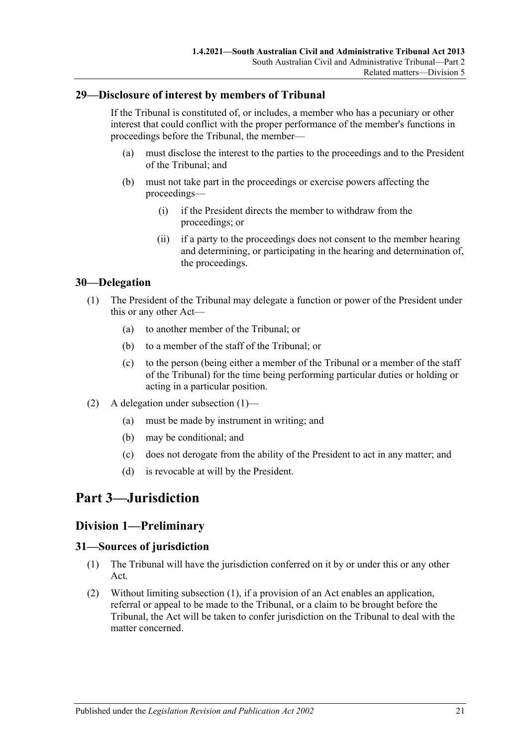### <span id="page-20-0"></span>**29—Disclosure of interest by members of Tribunal**

If the Tribunal is constituted of, or includes, a member who has a pecuniary or other interest that could conflict with the proper performance of the member's functions in proceedings before the Tribunal, the member—

- (a) must disclose the interest to the parties to the proceedings and to the President of the Tribunal; and
- (b) must not take part in the proceedings or exercise powers affecting the proceedings—
	- (i) if the President directs the member to withdraw from the proceedings; or
	- (ii) if a party to the proceedings does not consent to the member hearing and determining, or participating in the hearing and determination of, the proceedings.

### <span id="page-20-5"></span><span id="page-20-1"></span>**30—Delegation**

- (1) The President of the Tribunal may delegate a function or power of the President under this or any other Act—
	- (a) to another member of the Tribunal; or
	- (b) to a member of the staff of the Tribunal; or
	- (c) to the person (being either a member of the Tribunal or a member of the staff of the Tribunal) for the time being performing particular duties or holding or acting in a particular position.
- (2) A delegation under [subsection](#page-20-5) (1)—
	- (a) must be made by instrument in writing; and
	- (b) may be conditional; and
	- (c) does not derogate from the ability of the President to act in any matter; and
	- (d) is revocable at will by the President.

# <span id="page-20-3"></span><span id="page-20-2"></span>**Part 3—Jurisdiction**

### **Division 1—Preliminary**

### <span id="page-20-6"></span><span id="page-20-4"></span>**31—Sources of jurisdiction**

- (1) The Tribunal will have the jurisdiction conferred on it by or under this or any other Act.
- (2) Without limiting [subsection](#page-20-6) (1), if a provision of an Act enables an application, referral or appeal to be made to the Tribunal, or a claim to be brought before the Tribunal, the Act will be taken to confer jurisdiction on the Tribunal to deal with the matter concerned.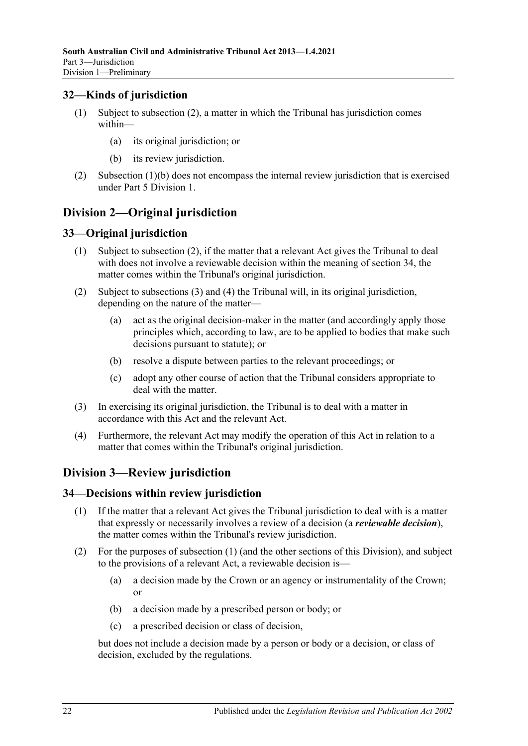# <span id="page-21-0"></span>**32—Kinds of jurisdiction**

- (1) Subject to [subsection](#page-21-5) (2), a matter in which the Tribunal has jurisdiction comes within—
	- (a) its original jurisdiction; or
	- (b) its review jurisdiction.
- <span id="page-21-6"></span><span id="page-21-5"></span>(2) [Subsection](#page-21-6) (1)(b) does not encompass the internal review jurisdiction that is exercised under Part [5 Division](#page-41-5) 1.

# <span id="page-21-1"></span>**Division 2—Original jurisdiction**

# <span id="page-21-2"></span>**33—Original jurisdiction**

- (1) Subject to subsection (2), if the matter that a relevant Act gives the Tribunal to deal with does not involve a reviewable decision within the meaning of [section](#page-21-4) 34, the matter comes within the Tribunal's original jurisdiction.
- (2) Subject to [subsections](#page-21-7) (3) and [\(4\)](#page-21-8) the Tribunal will, in its original jurisdiction, depending on the nature of the matter—
	- (a) act as the original decision-maker in the matter (and accordingly apply those principles which, according to law, are to be applied to bodies that make such decisions pursuant to statute); or
	- (b) resolve a dispute between parties to the relevant proceedings; or
	- (c) adopt any other course of action that the Tribunal considers appropriate to deal with the matter.
- <span id="page-21-7"></span>(3) In exercising its original jurisdiction, the Tribunal is to deal with a matter in accordance with this Act and the relevant Act.
- <span id="page-21-8"></span>(4) Furthermore, the relevant Act may modify the operation of this Act in relation to a matter that comes within the Tribunal's original jurisdiction.

# <span id="page-21-3"></span>**Division 3—Review jurisdiction**

### <span id="page-21-9"></span><span id="page-21-4"></span>**34—Decisions within review jurisdiction**

- (1) If the matter that a relevant Act gives the Tribunal jurisdiction to deal with is a matter that expressly or necessarily involves a review of a decision (a *reviewable decision*), the matter comes within the Tribunal's review jurisdiction.
- (2) For the purposes of [subsection](#page-21-9) (1) (and the other sections of this Division), and subject to the provisions of a relevant Act, a reviewable decision is—
	- (a) a decision made by the Crown or an agency or instrumentality of the Crown; or
	- (b) a decision made by a prescribed person or body; or
	- (c) a prescribed decision or class of decision,

but does not include a decision made by a person or body or a decision, or class of decision, excluded by the regulations.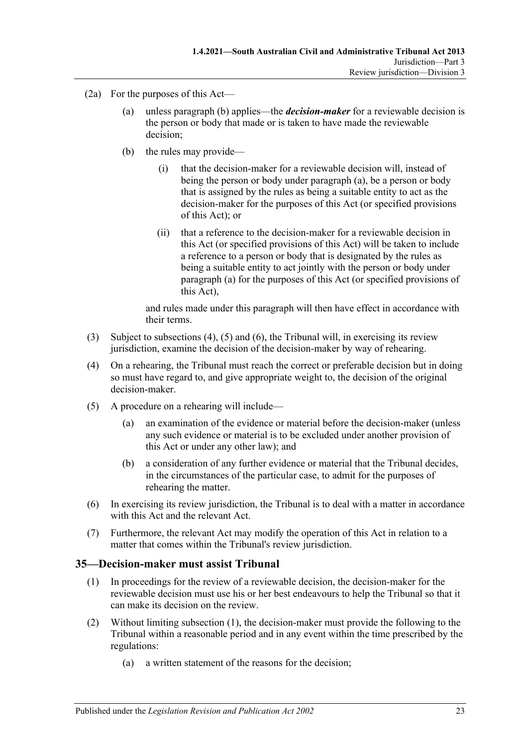- <span id="page-22-2"></span><span id="page-22-1"></span>(2a) For the purposes of this Act—
	- (a) unless [paragraph](#page-22-1) (b) applies—the *decision-maker* for a reviewable decision is the person or body that made or is taken to have made the reviewable decision;
	- (b) the rules may provide
		- that the decision-maker for a reviewable decision will, instead of being the person or body under [paragraph](#page-22-2) (a), be a person or body that is assigned by the rules as being a suitable entity to act as the decision-maker for the purposes of this Act (or specified provisions of this Act); or
		- (ii) that a reference to the decision-maker for a reviewable decision in this Act (or specified provisions of this Act) will be taken to include a reference to a person or body that is designated by the rules as being a suitable entity to act jointly with the person or body under [paragraph](#page-22-2) (a) for the purposes of this Act (or specified provisions of this Act),

and rules made under this paragraph will then have effect in accordance with their terms.

- (3) Subject to [subsections \(4\),](#page-22-3) [\(5\)](#page-22-4) and [\(6\),](#page-22-5) the Tribunal will, in exercising its review jurisdiction, examine the decision of the decision-maker by way of rehearing.
- <span id="page-22-3"></span>(4) On a rehearing, the Tribunal must reach the correct or preferable decision but in doing so must have regard to, and give appropriate weight to, the decision of the original decision-maker.
- <span id="page-22-4"></span>(5) A procedure on a rehearing will include—
	- (a) an examination of the evidence or material before the decision-maker (unless any such evidence or material is to be excluded under another provision of this Act or under any other law); and
	- (b) a consideration of any further evidence or material that the Tribunal decides, in the circumstances of the particular case, to admit for the purposes of rehearing the matter.
- <span id="page-22-5"></span>(6) In exercising its review jurisdiction, the Tribunal is to deal with a matter in accordance with this Act and the relevant Act.
- (7) Furthermore, the relevant Act may modify the operation of this Act in relation to a matter that comes within the Tribunal's review jurisdiction.

### <span id="page-22-6"></span><span id="page-22-0"></span>**35—Decision-maker must assist Tribunal**

- (1) In proceedings for the review of a reviewable decision, the decision-maker for the reviewable decision must use his or her best endeavours to help the Tribunal so that it can make its decision on the review.
- <span id="page-22-8"></span><span id="page-22-7"></span>(2) Without limiting [subsection](#page-22-6) (1), the decision-maker must provide the following to the Tribunal within a reasonable period and in any event within the time prescribed by the regulations:
	- (a) a written statement of the reasons for the decision;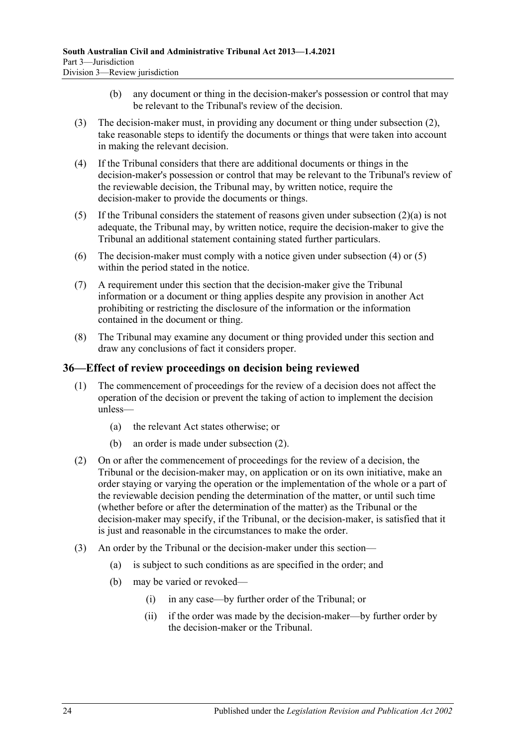- (b) any document or thing in the decision-maker's possession or control that may be relevant to the Tribunal's review of the decision.
- (3) The decision-maker must, in providing any document or thing under [subsection](#page-22-7) (2), take reasonable steps to identify the documents or things that were taken into account in making the relevant decision.
- <span id="page-23-1"></span>(4) If the Tribunal considers that there are additional documents or things in the decision-maker's possession or control that may be relevant to the Tribunal's review of the reviewable decision, the Tribunal may, by written notice, require the decision-maker to provide the documents or things.
- <span id="page-23-2"></span>(5) If the Tribunal considers the statement of reasons given under [subsection](#page-22-8) (2)(a) is not adequate, the Tribunal may, by written notice, require the decision-maker to give the Tribunal an additional statement containing stated further particulars.
- (6) The decision-maker must comply with a notice given under [subsection](#page-23-1) (4) or [\(5\)](#page-23-2) within the period stated in the notice.
- (7) A requirement under this section that the decision-maker give the Tribunal information or a document or thing applies despite any provision in another Act prohibiting or restricting the disclosure of the information or the information contained in the document or thing.
- (8) The Tribunal may examine any document or thing provided under this section and draw any conclusions of fact it considers proper.

### <span id="page-23-0"></span>**36—Effect of review proceedings on decision being reviewed**

- (1) The commencement of proceedings for the review of a decision does not affect the operation of the decision or prevent the taking of action to implement the decision unless—
	- (a) the relevant Act states otherwise; or
	- (b) an order is made under [subsection](#page-23-3) (2).
- <span id="page-23-3"></span>(2) On or after the commencement of proceedings for the review of a decision, the Tribunal or the decision-maker may, on application or on its own initiative, make an order staying or varying the operation or the implementation of the whole or a part of the reviewable decision pending the determination of the matter, or until such time (whether before or after the determination of the matter) as the Tribunal or the decision-maker may specify, if the Tribunal, or the decision-maker, is satisfied that it is just and reasonable in the circumstances to make the order.
- (3) An order by the Tribunal or the decision-maker under this section—
	- (a) is subject to such conditions as are specified in the order; and
	- (b) may be varied or revoked—
		- (i) in any case—by further order of the Tribunal; or
		- (ii) if the order was made by the decision-maker—by further order by the decision-maker or the Tribunal.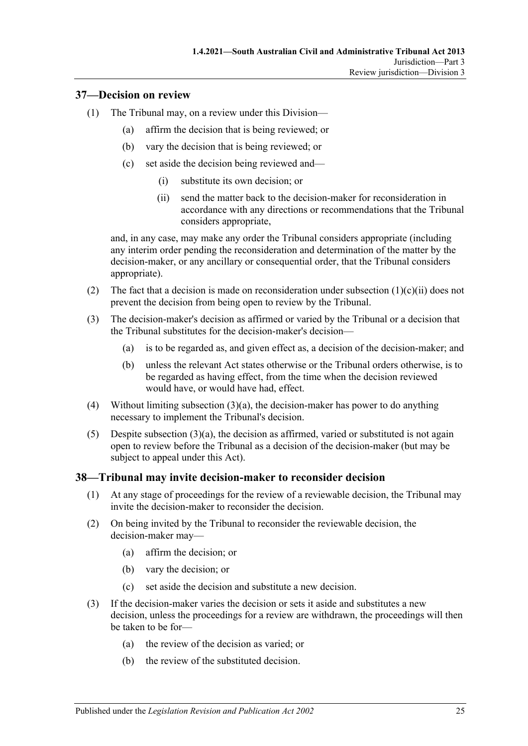### <span id="page-24-0"></span>**37—Decision on review**

- (1) The Tribunal may, on a review under this Division—
	- (a) affirm the decision that is being reviewed; or
	- (b) vary the decision that is being reviewed; or
	- (c) set aside the decision being reviewed and—
		- (i) substitute its own decision; or
		- (ii) send the matter back to the decision-maker for reconsideration in accordance with any directions or recommendations that the Tribunal considers appropriate,

<span id="page-24-2"></span>and, in any case, may make any order the Tribunal considers appropriate (including any interim order pending the reconsideration and determination of the matter by the decision-maker, or any ancillary or consequential order, that the Tribunal considers appropriate).

- (2) The fact that a decision is made on reconsideration under [subsection](#page-24-2)  $(1)(c)(ii)$  does not prevent the decision from being open to review by the Tribunal.
- <span id="page-24-3"></span>(3) The decision-maker's decision as affirmed or varied by the Tribunal or a decision that the Tribunal substitutes for the decision-maker's decision—
	- (a) is to be regarded as, and given effect as, a decision of the decision-maker; and
	- (b) unless the relevant Act states otherwise or the Tribunal orders otherwise, is to be regarded as having effect, from the time when the decision reviewed would have, or would have had, effect.
- (4) Without limiting [subsection](#page-24-3)  $(3)(a)$ , the decision-maker has power to do anything necessary to implement the Tribunal's decision.
- (5) Despite [subsection](#page-24-3)  $(3)(a)$ , the decision as affirmed, varied or substituted is not again open to review before the Tribunal as a decision of the decision-maker (but may be subject to appeal under this Act).

### <span id="page-24-1"></span>**38—Tribunal may invite decision-maker to reconsider decision**

- (1) At any stage of proceedings for the review of a reviewable decision, the Tribunal may invite the decision-maker to reconsider the decision.
- (2) On being invited by the Tribunal to reconsider the reviewable decision, the decision-maker may—
	- (a) affirm the decision; or
	- (b) vary the decision; or
	- (c) set aside the decision and substitute a new decision.
- (3) If the decision-maker varies the decision or sets it aside and substitutes a new decision, unless the proceedings for a review are withdrawn, the proceedings will then be taken to be for—
	- (a) the review of the decision as varied; or
	- (b) the review of the substituted decision.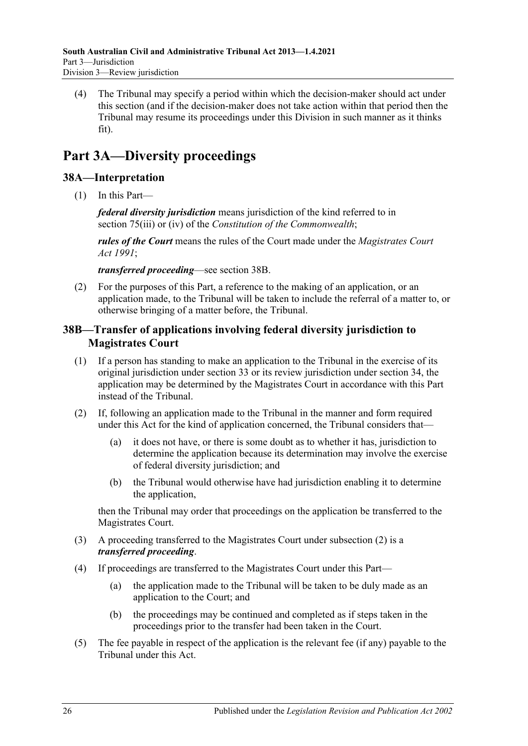(4) The Tribunal may specify a period within which the decision-maker should act under this section (and if the decision-maker does not take action within that period then the Tribunal may resume its proceedings under this Division in such manner as it thinks fit).

# <span id="page-25-0"></span>**Part 3A—Diversity proceedings**

# <span id="page-25-1"></span>**38A—Interpretation**

(1) In this Part—

*federal diversity jurisdiction* means jurisdiction of the kind referred to in section 75(iii) or (iv) of the *Constitution of the Commonwealth*;

*rules of the Court* means the rules of the Court made under the *[Magistrates Court](http://www.legislation.sa.gov.au/index.aspx?action=legref&type=act&legtitle=Magistrates%20Court%20Act%201991)  Act [1991](http://www.legislation.sa.gov.au/index.aspx?action=legref&type=act&legtitle=Magistrates%20Court%20Act%201991)*;

*transferred proceeding*—see [section](#page-25-2) 38B.

(2) For the purposes of this Part, a reference to the making of an application, or an application made, to the Tribunal will be taken to include the referral of a matter to, or otherwise bringing of a matter before, the Tribunal.

# <span id="page-25-2"></span>**38B—Transfer of applications involving federal diversity jurisdiction to Magistrates Court**

- (1) If a person has standing to make an application to the Tribunal in the exercise of its original jurisdiction under [section](#page-21-2) 33 or its review jurisdiction under [section](#page-21-4) 34, the application may be determined by the Magistrates Court in accordance with this Part instead of the Tribunal.
- <span id="page-25-3"></span>(2) If, following an application made to the Tribunal in the manner and form required under this Act for the kind of application concerned, the Tribunal considers that—
	- (a) it does not have, or there is some doubt as to whether it has, jurisdiction to determine the application because its determination may involve the exercise of federal diversity jurisdiction; and
	- (b) the Tribunal would otherwise have had jurisdiction enabling it to determine the application,

then the Tribunal may order that proceedings on the application be transferred to the Magistrates Court.

- (3) A proceeding transferred to the Magistrates Court under [subsection](#page-25-3) (2) is a *transferred proceeding*.
- (4) If proceedings are transferred to the Magistrates Court under this Part—
	- (a) the application made to the Tribunal will be taken to be duly made as an application to the Court; and
	- (b) the proceedings may be continued and completed as if steps taken in the proceedings prior to the transfer had been taken in the Court.
- (5) The fee payable in respect of the application is the relevant fee (if any) payable to the Tribunal under this Act.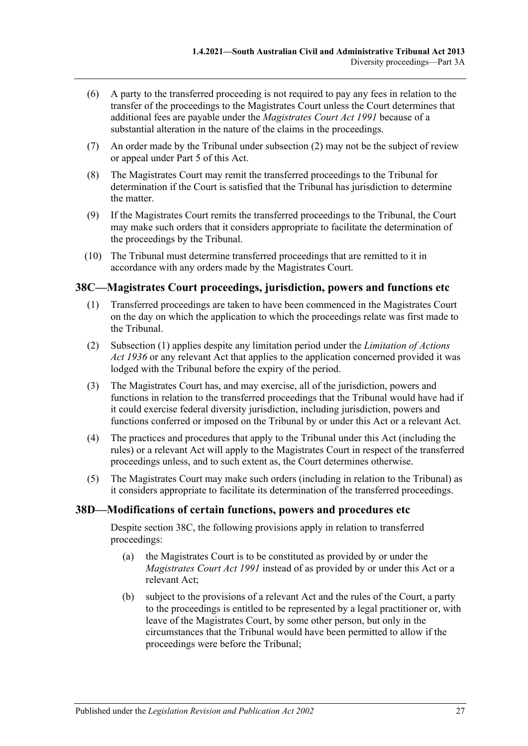- (6) A party to the transferred proceeding is not required to pay any fees in relation to the transfer of the proceedings to the Magistrates Court unless the Court determines that additional fees are payable under the *[Magistrates Court Act](http://www.legislation.sa.gov.au/index.aspx?action=legref&type=act&legtitle=Magistrates%20Court%20Act%201991) 1991* because of a substantial alteration in the nature of the claims in the proceedings.
- (7) An order made by the Tribunal under [subsection](#page-25-3) (2) may not be the subject of review or appeal under [Part](#page-41-4) 5 of this Act.
- (8) The Magistrates Court may remit the transferred proceedings to the Tribunal for determination if the Court is satisfied that the Tribunal has jurisdiction to determine the matter.
- (9) If the Magistrates Court remits the transferred proceedings to the Tribunal, the Court may make such orders that it considers appropriate to facilitate the determination of the proceedings by the Tribunal.
- (10) The Tribunal must determine transferred proceedings that are remitted to it in accordance with any orders made by the Magistrates Court.

# <span id="page-26-2"></span><span id="page-26-0"></span>**38C—Magistrates Court proceedings, jurisdiction, powers and functions etc**

- (1) Transferred proceedings are taken to have been commenced in the Magistrates Court on the day on which the application to which the proceedings relate was first made to the Tribunal.
- (2) [Subsection](#page-26-2) (1) applies despite any limitation period under the *[Limitation of Actions](http://www.legislation.sa.gov.au/index.aspx?action=legref&type=act&legtitle=Limitation%20of%20Actions%20Act%201936)  Act [1936](http://www.legislation.sa.gov.au/index.aspx?action=legref&type=act&legtitle=Limitation%20of%20Actions%20Act%201936)* or any relevant Act that applies to the application concerned provided it was lodged with the Tribunal before the expiry of the period.
- (3) The Magistrates Court has, and may exercise, all of the jurisdiction, powers and functions in relation to the transferred proceedings that the Tribunal would have had if it could exercise federal diversity jurisdiction, including jurisdiction, powers and functions conferred or imposed on the Tribunal by or under this Act or a relevant Act.
- (4) The practices and procedures that apply to the Tribunal under this Act (including the rules) or a relevant Act will apply to the Magistrates Court in respect of the transferred proceedings unless, and to such extent as, the Court determines otherwise.
- (5) The Magistrates Court may make such orders (including in relation to the Tribunal) as it considers appropriate to facilitate its determination of the transferred proceedings.

### <span id="page-26-1"></span>**38D—Modifications of certain functions, powers and procedures etc**

Despite [section](#page-26-0) 38C, the following provisions apply in relation to transferred proceedings:

- (a) the Magistrates Court is to be constituted as provided by or under the *[Magistrates Court Act](http://www.legislation.sa.gov.au/index.aspx?action=legref&type=act&legtitle=Magistrates%20Court%20Act%201991) 1991* instead of as provided by or under this Act or a relevant Act;
- (b) subject to the provisions of a relevant Act and the rules of the Court, a party to the proceedings is entitled to be represented by a legal practitioner or, with leave of the Magistrates Court, by some other person, but only in the circumstances that the Tribunal would have been permitted to allow if the proceedings were before the Tribunal;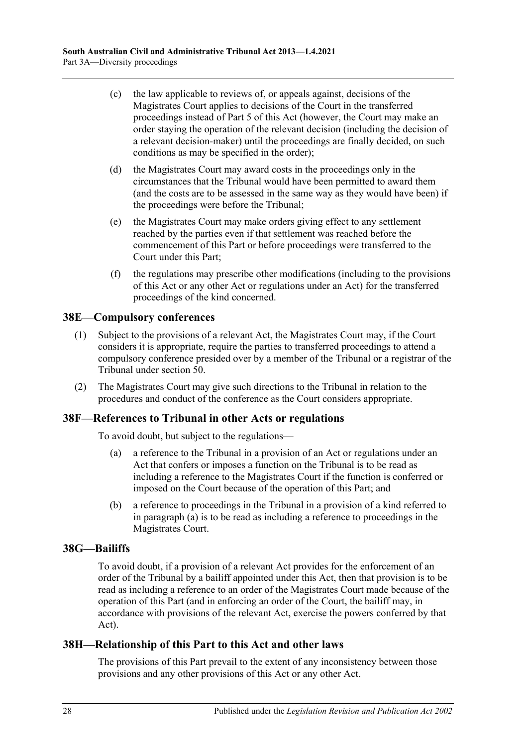- (c) the law applicable to reviews of, or appeals against, decisions of the Magistrates Court applies to decisions of the Court in the transferred proceedings instead of [Part](#page-41-4) 5 of this Act (however, the Court may make an order staying the operation of the relevant decision (including the decision of a relevant decision-maker) until the proceedings are finally decided, on such conditions as may be specified in the order);
- (d) the Magistrates Court may award costs in the proceedings only in the circumstances that the Tribunal would have been permitted to award them (and the costs are to be assessed in the same way as they would have been) if the proceedings were before the Tribunal;
- (e) the Magistrates Court may make orders giving effect to any settlement reached by the parties even if that settlement was reached before the commencement of this Part or before proceedings were transferred to the Court under this Part;
- (f) the regulations may prescribe other modifications (including to the provisions of this Act or any other Act or regulations under an Act) for the transferred proceedings of the kind concerned.

### <span id="page-27-0"></span>**38E—Compulsory conferences**

- (1) Subject to the provisions of a relevant Act, the Magistrates Court may, if the Court considers it is appropriate, require the parties to transferred proceedings to attend a compulsory conference presided over by a member of the Tribunal or a registrar of the Tribunal under [section](#page-33-1) 50.
- (2) The Magistrates Court may give such directions to the Tribunal in relation to the procedures and conduct of the conference as the Court considers appropriate.

### <span id="page-27-4"></span><span id="page-27-1"></span>**38F—References to Tribunal in other Acts or regulations**

To avoid doubt, but subject to the regulations—

- (a) a reference to the Tribunal in a provision of an Act or regulations under an Act that confers or imposes a function on the Tribunal is to be read as including a reference to the Magistrates Court if the function is conferred or imposed on the Court because of the operation of this Part; and
- (b) a reference to proceedings in the Tribunal in a provision of a kind referred to in [paragraph](#page-27-4) (a) is to be read as including a reference to proceedings in the Magistrates Court.

### <span id="page-27-2"></span>**38G—Bailiffs**

To avoid doubt, if a provision of a relevant Act provides for the enforcement of an order of the Tribunal by a bailiff appointed under this Act, then that provision is to be read as including a reference to an order of the Magistrates Court made because of the operation of this Part (and in enforcing an order of the Court, the bailiff may, in accordance with provisions of the relevant Act, exercise the powers conferred by that Act).

### <span id="page-27-3"></span>**38H—Relationship of this Part to this Act and other laws**

The provisions of this Part prevail to the extent of any inconsistency between those provisions and any other provisions of this Act or any other Act.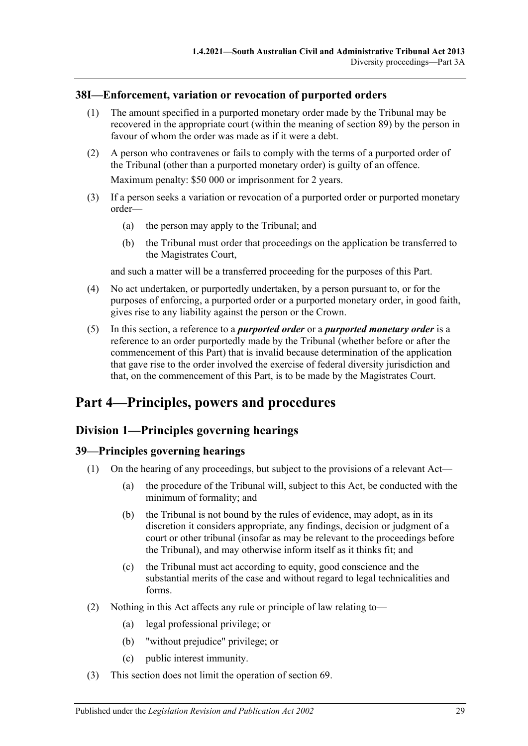## <span id="page-28-0"></span>**38I—Enforcement, variation or revocation of purported orders**

- (1) The amount specified in a purported monetary order made by the Tribunal may be recovered in the appropriate court (within the meaning of [section](#page-49-1) 89) by the person in favour of whom the order was made as if it were a debt.
- (2) A person who contravenes or fails to comply with the terms of a purported order of the Tribunal (other than a purported monetary order) is guilty of an offence.

Maximum penalty: \$50 000 or imprisonment for 2 years.

- (3) If a person seeks a variation or revocation of a purported order or purported monetary order—
	- (a) the person may apply to the Tribunal; and
	- (b) the Tribunal must order that proceedings on the application be transferred to the Magistrates Court,

and such a matter will be a transferred proceeding for the purposes of this Part.

- (4) No act undertaken, or purportedly undertaken, by a person pursuant to, or for the purposes of enforcing, a purported order or a purported monetary order, in good faith, gives rise to any liability against the person or the Crown.
- (5) In this section, a reference to a *purported order* or a *purported monetary order* is a reference to an order purportedly made by the Tribunal (whether before or after the commencement of this Part) that is invalid because determination of the application that gave rise to the order involved the exercise of federal diversity jurisdiction and that, on the commencement of this Part, is to be made by the Magistrates Court.

# <span id="page-28-1"></span>**Part 4—Principles, powers and procedures**

# <span id="page-28-2"></span>**Division 1—Principles governing hearings**

# <span id="page-28-3"></span>**39—Principles governing hearings**

- (1) On the hearing of any proceedings, but subject to the provisions of a relevant Act—
	- (a) the procedure of the Tribunal will, subject to this Act, be conducted with the minimum of formality; and
	- (b) the Tribunal is not bound by the rules of evidence, may adopt, as in its discretion it considers appropriate, any findings, decision or judgment of a court or other tribunal (insofar as may be relevant to the proceedings before the Tribunal), and may otherwise inform itself as it thinks fit; and
	- (c) the Tribunal must act according to equity, good conscience and the substantial merits of the case and without regard to legal technicalities and forms.
- (2) Nothing in this Act affects any rule or principle of law relating to—
	- (a) legal professional privilege; or
	- (b) "without prejudice" privilege; or
	- (c) public interest immunity.
- (3) This section does not limit the operation of [section](#page-41-3) 69.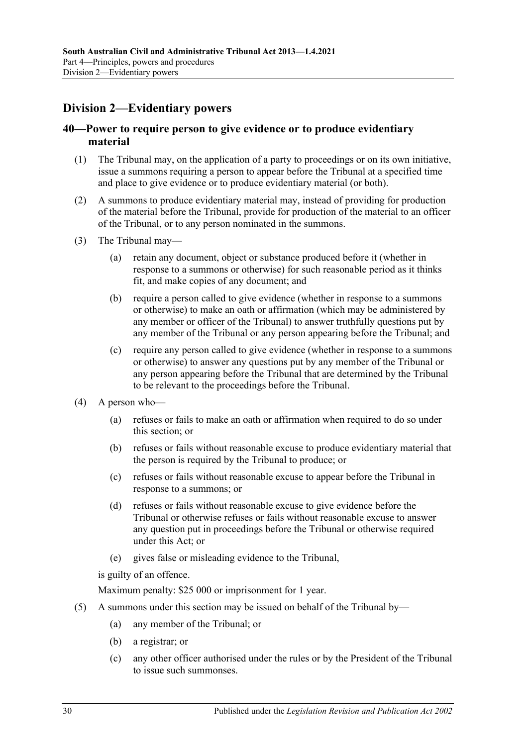# <span id="page-29-0"></span>**Division 2—Evidentiary powers**

### <span id="page-29-1"></span>**40—Power to require person to give evidence or to produce evidentiary material**

- (1) The Tribunal may, on the application of a party to proceedings or on its own initiative, issue a summons requiring a person to appear before the Tribunal at a specified time and place to give evidence or to produce evidentiary material (or both).
- (2) A summons to produce evidentiary material may, instead of providing for production of the material before the Tribunal, provide for production of the material to an officer of the Tribunal, or to any person nominated in the summons.
- (3) The Tribunal may—
	- (a) retain any document, object or substance produced before it (whether in response to a summons or otherwise) for such reasonable period as it thinks fit, and make copies of any document; and
	- (b) require a person called to give evidence (whether in response to a summons or otherwise) to make an oath or affirmation (which may be administered by any member or officer of the Tribunal) to answer truthfully questions put by any member of the Tribunal or any person appearing before the Tribunal; and
	- (c) require any person called to give evidence (whether in response to a summons or otherwise) to answer any questions put by any member of the Tribunal or any person appearing before the Tribunal that are determined by the Tribunal to be relevant to the proceedings before the Tribunal.
- (4) A person who—
	- (a) refuses or fails to make an oath or affirmation when required to do so under this section; or
	- (b) refuses or fails without reasonable excuse to produce evidentiary material that the person is required by the Tribunal to produce; or
	- (c) refuses or fails without reasonable excuse to appear before the Tribunal in response to a summons; or
	- (d) refuses or fails without reasonable excuse to give evidence before the Tribunal or otherwise refuses or fails without reasonable excuse to answer any question put in proceedings before the Tribunal or otherwise required under this Act; or
	- (e) gives false or misleading evidence to the Tribunal,

is guilty of an offence.

Maximum penalty: \$25 000 or imprisonment for 1 year.

- (5) A summons under this section may be issued on behalf of the Tribunal by—
	- (a) any member of the Tribunal; or
	- (b) a registrar; or
	- (c) any other officer authorised under the rules or by the President of the Tribunal to issue such summonses.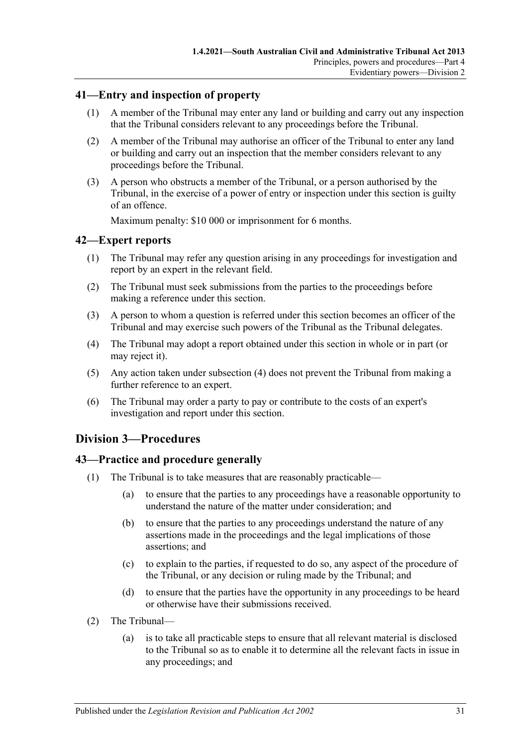## <span id="page-30-0"></span>**41—Entry and inspection of property**

- (1) A member of the Tribunal may enter any land or building and carry out any inspection that the Tribunal considers relevant to any proceedings before the Tribunal.
- (2) A member of the Tribunal may authorise an officer of the Tribunal to enter any land or building and carry out an inspection that the member considers relevant to any proceedings before the Tribunal.
- (3) A person who obstructs a member of the Tribunal, or a person authorised by the Tribunal, in the exercise of a power of entry or inspection under this section is guilty of an offence.

Maximum penalty: \$10 000 or imprisonment for 6 months.

### <span id="page-30-1"></span>**42—Expert reports**

- (1) The Tribunal may refer any question arising in any proceedings for investigation and report by an expert in the relevant field.
- (2) The Tribunal must seek submissions from the parties to the proceedings before making a reference under this section.
- (3) A person to whom a question is referred under this section becomes an officer of the Tribunal and may exercise such powers of the Tribunal as the Tribunal delegates.
- <span id="page-30-4"></span>(4) The Tribunal may adopt a report obtained under this section in whole or in part (or may reject it).
- (5) Any action taken under [subsection](#page-30-4) (4) does not prevent the Tribunal from making a further reference to an expert.
- (6) The Tribunal may order a party to pay or contribute to the costs of an expert's investigation and report under this section.

# <span id="page-30-2"></span>**Division 3—Procedures**

### <span id="page-30-3"></span>**43—Practice and procedure generally**

- (1) The Tribunal is to take measures that are reasonably practicable—
	- (a) to ensure that the parties to any proceedings have a reasonable opportunity to understand the nature of the matter under consideration; and
	- (b) to ensure that the parties to any proceedings understand the nature of any assertions made in the proceedings and the legal implications of those assertions; and
	- (c) to explain to the parties, if requested to do so, any aspect of the procedure of the Tribunal, or any decision or ruling made by the Tribunal; and
	- (d) to ensure that the parties have the opportunity in any proceedings to be heard or otherwise have their submissions received.
- (2) The Tribunal—
	- (a) is to take all practicable steps to ensure that all relevant material is disclosed to the Tribunal so as to enable it to determine all the relevant facts in issue in any proceedings; and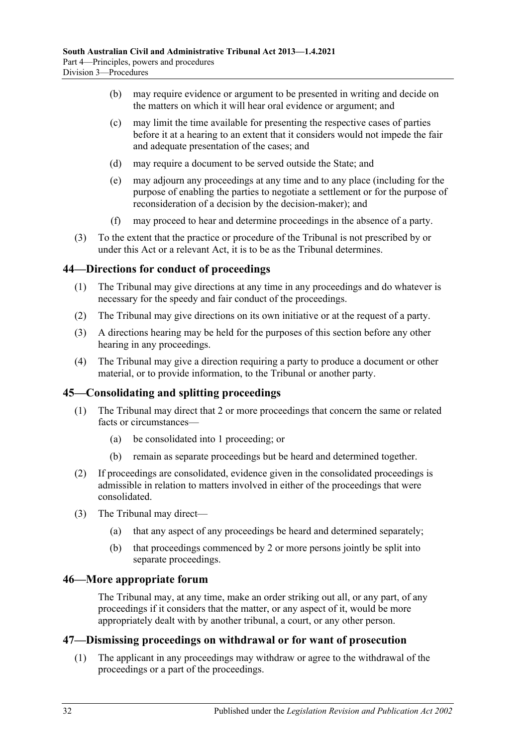- (b) may require evidence or argument to be presented in writing and decide on the matters on which it will hear oral evidence or argument; and
- (c) may limit the time available for presenting the respective cases of parties before it at a hearing to an extent that it considers would not impede the fair and adequate presentation of the cases; and
- (d) may require a document to be served outside the State; and
- (e) may adjourn any proceedings at any time and to any place (including for the purpose of enabling the parties to negotiate a settlement or for the purpose of reconsideration of a decision by the decision-maker); and
- (f) may proceed to hear and determine proceedings in the absence of a party.
- (3) To the extent that the practice or procedure of the Tribunal is not prescribed by or under this Act or a relevant Act, it is to be as the Tribunal determines.

### <span id="page-31-0"></span>**44—Directions for conduct of proceedings**

- (1) The Tribunal may give directions at any time in any proceedings and do whatever is necessary for the speedy and fair conduct of the proceedings.
- (2) The Tribunal may give directions on its own initiative or at the request of a party.
- (3) A directions hearing may be held for the purposes of this section before any other hearing in any proceedings.
- (4) The Tribunal may give a direction requiring a party to produce a document or other material, or to provide information, to the Tribunal or another party.

### <span id="page-31-1"></span>**45—Consolidating and splitting proceedings**

- (1) The Tribunal may direct that 2 or more proceedings that concern the same or related facts or circumstances—
	- (a) be consolidated into 1 proceeding; or
	- (b) remain as separate proceedings but be heard and determined together.
- (2) If proceedings are consolidated, evidence given in the consolidated proceedings is admissible in relation to matters involved in either of the proceedings that were consolidated.
- (3) The Tribunal may direct—
	- (a) that any aspect of any proceedings be heard and determined separately;
	- (b) that proceedings commenced by 2 or more persons jointly be split into separate proceedings.

### <span id="page-31-2"></span>**46—More appropriate forum**

The Tribunal may, at any time, make an order striking out all, or any part, of any proceedings if it considers that the matter, or any aspect of it, would be more appropriately dealt with by another tribunal, a court, or any other person.

### <span id="page-31-4"></span><span id="page-31-3"></span>**47—Dismissing proceedings on withdrawal or for want of prosecution**

(1) The applicant in any proceedings may withdraw or agree to the withdrawal of the proceedings or a part of the proceedings.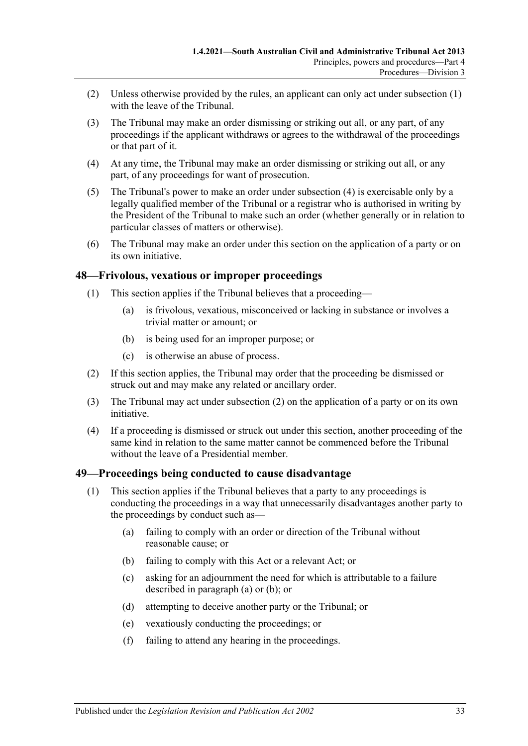- (2) Unless otherwise provided by the rules, an applicant can only act under [subsection](#page-31-4) (1) with the leave of the Tribunal.
- (3) The Tribunal may make an order dismissing or striking out all, or any part, of any proceedings if the applicant withdraws or agrees to the withdrawal of the proceedings or that part of it.
- <span id="page-32-2"></span>(4) At any time, the Tribunal may make an order dismissing or striking out all, or any part, of any proceedings for want of prosecution.
- (5) The Tribunal's power to make an order under [subsection](#page-32-2) (4) is exercisable only by a legally qualified member of the Tribunal or a registrar who is authorised in writing by the President of the Tribunal to make such an order (whether generally or in relation to particular classes of matters or otherwise).
- (6) The Tribunal may make an order under this section on the application of a party or on its own initiative.

### <span id="page-32-0"></span>**48—Frivolous, vexatious or improper proceedings**

- (1) This section applies if the Tribunal believes that a proceeding—
	- (a) is frivolous, vexatious, misconceived or lacking in substance or involves a trivial matter or amount; or
	- (b) is being used for an improper purpose; or
	- (c) is otherwise an abuse of process.
- <span id="page-32-3"></span>(2) If this section applies, the Tribunal may order that the proceeding be dismissed or struck out and may make any related or ancillary order.
- (3) The Tribunal may act under [subsection](#page-32-3) (2) on the application of a party or on its own initiative.
- (4) If a proceeding is dismissed or struck out under this section, another proceeding of the same kind in relation to the same matter cannot be commenced before the Tribunal without the leave of a Presidential member.

### <span id="page-32-1"></span>**49—Proceedings being conducted to cause disadvantage**

- <span id="page-32-5"></span><span id="page-32-4"></span>(1) This section applies if the Tribunal believes that a party to any proceedings is conducting the proceedings in a way that unnecessarily disadvantages another party to the proceedings by conduct such as—
	- (a) failing to comply with an order or direction of the Tribunal without reasonable cause; or
	- (b) failing to comply with this Act or a relevant Act; or
	- (c) asking for an adjournment the need for which is attributable to a failure described in [paragraph](#page-32-4) (a) or [\(b\);](#page-32-5) or
	- (d) attempting to deceive another party or the Tribunal; or
	- (e) vexatiously conducting the proceedings; or
	- (f) failing to attend any hearing in the proceedings.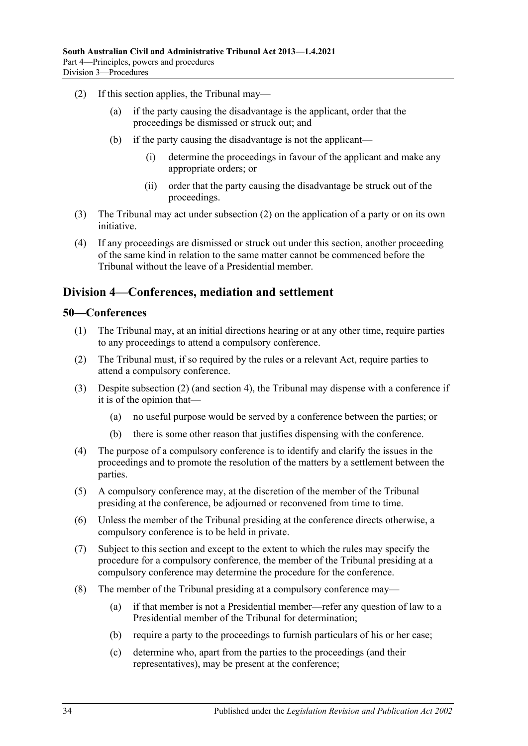- <span id="page-33-2"></span>(2) If this section applies, the Tribunal may—
	- (a) if the party causing the disadvantage is the applicant, order that the proceedings be dismissed or struck out; and
	- (b) if the party causing the disadvantage is not the applicant—
		- (i) determine the proceedings in favour of the applicant and make any appropriate orders; or
		- (ii) order that the party causing the disadvantage be struck out of the proceedings.
- (3) The Tribunal may act under [subsection](#page-33-2) (2) on the application of a party or on its own initiative.
- (4) If any proceedings are dismissed or struck out under this section, another proceeding of the same kind in relation to the same matter cannot be commenced before the Tribunal without the leave of a Presidential member.

# <span id="page-33-0"></span>**Division 4—Conferences, mediation and settlement**

### <span id="page-33-1"></span>**50—Conferences**

- (1) The Tribunal may, at an initial directions hearing or at any other time, require parties to any proceedings to attend a compulsory conference.
- <span id="page-33-3"></span>(2) The Tribunal must, if so required by the rules or a relevant Act, require parties to attend a compulsory conference.
- (3) Despite [subsection](#page-33-3) (2) (and [section](#page-6-0) 4), the Tribunal may dispense with a conference if it is of the opinion that—
	- (a) no useful purpose would be served by a conference between the parties; or
	- (b) there is some other reason that justifies dispensing with the conference.
- (4) The purpose of a compulsory conference is to identify and clarify the issues in the proceedings and to promote the resolution of the matters by a settlement between the parties.
- (5) A compulsory conference may, at the discretion of the member of the Tribunal presiding at the conference, be adjourned or reconvened from time to time.
- (6) Unless the member of the Tribunal presiding at the conference directs otherwise, a compulsory conference is to be held in private.
- (7) Subject to this section and except to the extent to which the rules may specify the procedure for a compulsory conference, the member of the Tribunal presiding at a compulsory conference may determine the procedure for the conference.
- <span id="page-33-4"></span>(8) The member of the Tribunal presiding at a compulsory conference may—
	- (a) if that member is not a Presidential member—refer any question of law to a Presidential member of the Tribunal for determination;
	- (b) require a party to the proceedings to furnish particulars of his or her case;
	- (c) determine who, apart from the parties to the proceedings (and their representatives), may be present at the conference;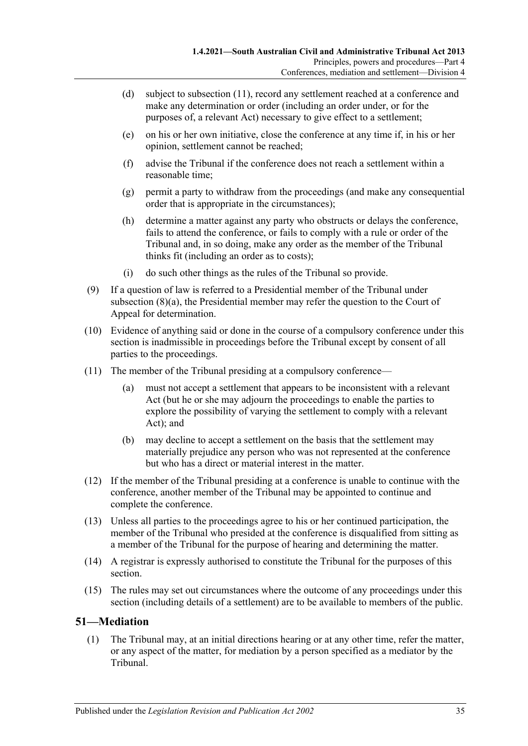- (d) subject to [subsection](#page-34-1) (11), record any settlement reached at a conference and make any determination or order (including an order under, or for the purposes of, a relevant Act) necessary to give effect to a settlement;
- (e) on his or her own initiative, close the conference at any time if, in his or her opinion, settlement cannot be reached;
- (f) advise the Tribunal if the conference does not reach a settlement within a reasonable time;
- (g) permit a party to withdraw from the proceedings (and make any consequential order that is appropriate in the circumstances);
- (h) determine a matter against any party who obstructs or delays the conference, fails to attend the conference, or fails to comply with a rule or order of the Tribunal and, in so doing, make any order as the member of the Tribunal thinks fit (including an order as to costs);
- (i) do such other things as the rules of the Tribunal so provide.
- (9) If a question of law is referred to a Presidential member of the Tribunal under [subsection](#page-33-4) (8)(a), the Presidential member may refer the question to the Court of Appeal for determination.
- (10) Evidence of anything said or done in the course of a compulsory conference under this section is inadmissible in proceedings before the Tribunal except by consent of all parties to the proceedings.
- <span id="page-34-1"></span>(11) The member of the Tribunal presiding at a compulsory conference—
	- (a) must not accept a settlement that appears to be inconsistent with a relevant Act (but he or she may adjourn the proceedings to enable the parties to explore the possibility of varying the settlement to comply with a relevant Act); and
	- (b) may decline to accept a settlement on the basis that the settlement may materially prejudice any person who was not represented at the conference but who has a direct or material interest in the matter.
- (12) If the member of the Tribunal presiding at a conference is unable to continue with the conference, another member of the Tribunal may be appointed to continue and complete the conference.
- (13) Unless all parties to the proceedings agree to his or her continued participation, the member of the Tribunal who presided at the conference is disqualified from sitting as a member of the Tribunal for the purpose of hearing and determining the matter.
- (14) A registrar is expressly authorised to constitute the Tribunal for the purposes of this section.
- (15) The rules may set out circumstances where the outcome of any proceedings under this section (including details of a settlement) are to be available to members of the public.

### <span id="page-34-0"></span>**51—Mediation**

(1) The Tribunal may, at an initial directions hearing or at any other time, refer the matter, or any aspect of the matter, for mediation by a person specified as a mediator by the Tribunal.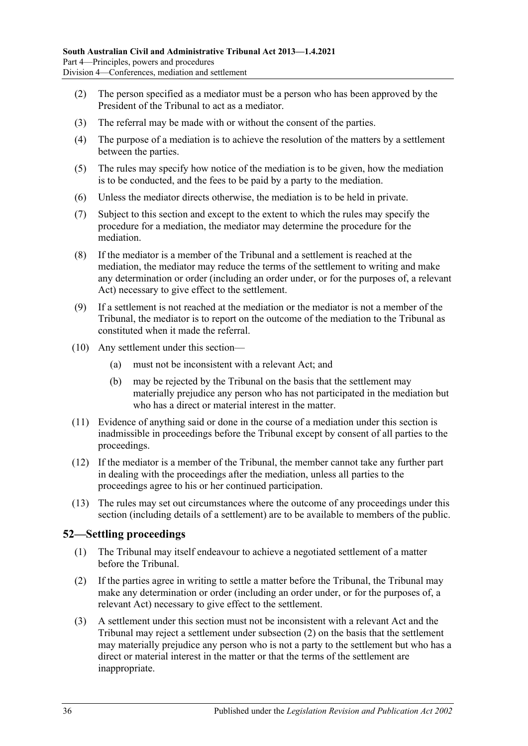- (2) The person specified as a mediator must be a person who has been approved by the President of the Tribunal to act as a mediator.
- (3) The referral may be made with or without the consent of the parties.
- (4) The purpose of a mediation is to achieve the resolution of the matters by a settlement between the parties.
- (5) The rules may specify how notice of the mediation is to be given, how the mediation is to be conducted, and the fees to be paid by a party to the mediation.
- (6) Unless the mediator directs otherwise, the mediation is to be held in private.
- (7) Subject to this section and except to the extent to which the rules may specify the procedure for a mediation, the mediator may determine the procedure for the mediation.
- (8) If the mediator is a member of the Tribunal and a settlement is reached at the mediation, the mediator may reduce the terms of the settlement to writing and make any determination or order (including an order under, or for the purposes of, a relevant Act) necessary to give effect to the settlement.
- (9) If a settlement is not reached at the mediation or the mediator is not a member of the Tribunal, the mediator is to report on the outcome of the mediation to the Tribunal as constituted when it made the referral.
- (10) Any settlement under this section—
	- (a) must not be inconsistent with a relevant Act; and
	- (b) may be rejected by the Tribunal on the basis that the settlement may materially prejudice any person who has not participated in the mediation but who has a direct or material interest in the matter.
- (11) Evidence of anything said or done in the course of a mediation under this section is inadmissible in proceedings before the Tribunal except by consent of all parties to the proceedings.
- (12) If the mediator is a member of the Tribunal, the member cannot take any further part in dealing with the proceedings after the mediation, unless all parties to the proceedings agree to his or her continued participation.
- (13) The rules may set out circumstances where the outcome of any proceedings under this section (including details of a settlement) are to be available to members of the public.

### <span id="page-35-0"></span>**52—Settling proceedings**

- (1) The Tribunal may itself endeavour to achieve a negotiated settlement of a matter before the Tribunal.
- <span id="page-35-1"></span>(2) If the parties agree in writing to settle a matter before the Tribunal, the Tribunal may make any determination or order (including an order under, or for the purposes of, a relevant Act) necessary to give effect to the settlement.
- (3) A settlement under this section must not be inconsistent with a relevant Act and the Tribunal may reject a settlement under [subsection](#page-35-1) (2) on the basis that the settlement may materially prejudice any person who is not a party to the settlement but who has a direct or material interest in the matter or that the terms of the settlement are inappropriate.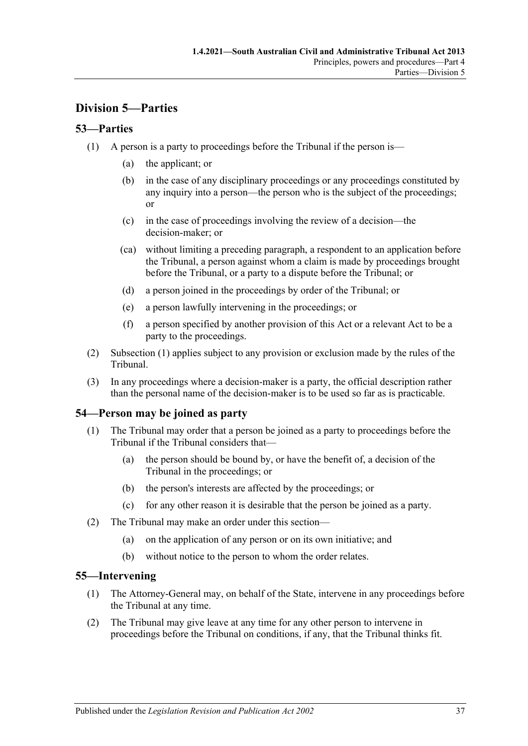# <span id="page-36-0"></span>**Division 5—Parties**

# <span id="page-36-4"></span><span id="page-36-1"></span>**53—Parties**

- (1) A person is a party to proceedings before the Tribunal if the person is—
	- (a) the applicant; or
	- (b) in the case of any disciplinary proceedings or any proceedings constituted by any inquiry into a person—the person who is the subject of the proceedings; or
	- (c) in the case of proceedings involving the review of a decision—the decision-maker; or
	- (ca) without limiting a preceding paragraph, a respondent to an application before the Tribunal, a person against whom a claim is made by proceedings brought before the Tribunal, or a party to a dispute before the Tribunal; or
	- (d) a person joined in the proceedings by order of the Tribunal; or
	- (e) a person lawfully intervening in the proceedings; or
	- (f) a person specified by another provision of this Act or a relevant Act to be a party to the proceedings.
- (2) [Subsection](#page-36-4) (1) applies subject to any provision or exclusion made by the rules of the Tribunal.
- (3) In any proceedings where a decision-maker is a party, the official description rather than the personal name of the decision-maker is to be used so far as is practicable.

# <span id="page-36-2"></span>**54—Person may be joined as party**

- (1) The Tribunal may order that a person be joined as a party to proceedings before the Tribunal if the Tribunal considers that—
	- (a) the person should be bound by, or have the benefit of, a decision of the Tribunal in the proceedings; or
	- (b) the person's interests are affected by the proceedings; or
	- (c) for any other reason it is desirable that the person be joined as a party.
- (2) The Tribunal may make an order under this section—
	- (a) on the application of any person or on its own initiative; and
	- (b) without notice to the person to whom the order relates.

### <span id="page-36-3"></span>**55—Intervening**

- (1) The Attorney-General may, on behalf of the State, intervene in any proceedings before the Tribunal at any time.
- (2) The Tribunal may give leave at any time for any other person to intervene in proceedings before the Tribunal on conditions, if any, that the Tribunal thinks fit.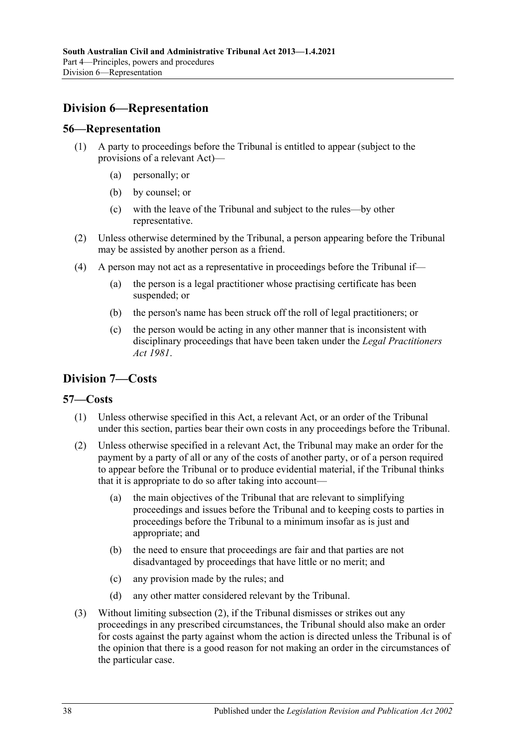# <span id="page-37-0"></span>**Division 6—Representation**

### <span id="page-37-1"></span>**56—Representation**

- (1) A party to proceedings before the Tribunal is entitled to appear (subject to the provisions of a relevant Act)—
	- (a) personally; or
	- (b) by counsel; or
	- (c) with the leave of the Tribunal and subject to the rules—by other representative.
- (2) Unless otherwise determined by the Tribunal, a person appearing before the Tribunal may be assisted by another person as a friend.
- (4) A person may not act as a representative in proceedings before the Tribunal if—
	- (a) the person is a legal practitioner whose practising certificate has been suspended; or
	- (b) the person's name has been struck off the roll of legal practitioners; or
	- (c) the person would be acting in any other manner that is inconsistent with disciplinary proceedings that have been taken under the *[Legal Practitioners](http://www.legislation.sa.gov.au/index.aspx?action=legref&type=act&legtitle=Legal%20Practitioners%20Act%201981)  Act [1981](http://www.legislation.sa.gov.au/index.aspx?action=legref&type=act&legtitle=Legal%20Practitioners%20Act%201981)*.

# <span id="page-37-2"></span>**Division 7—Costs**

### <span id="page-37-3"></span>**57—Costs**

- (1) Unless otherwise specified in this Act, a relevant Act, or an order of the Tribunal under this section, parties bear their own costs in any proceedings before the Tribunal.
- <span id="page-37-4"></span>(2) Unless otherwise specified in a relevant Act, the Tribunal may make an order for the payment by a party of all or any of the costs of another party, or of a person required to appear before the Tribunal or to produce evidential material, if the Tribunal thinks that it is appropriate to do so after taking into account—
	- (a) the main objectives of the Tribunal that are relevant to simplifying proceedings and issues before the Tribunal and to keeping costs to parties in proceedings before the Tribunal to a minimum insofar as is just and appropriate; and
	- (b) the need to ensure that proceedings are fair and that parties are not disadvantaged by proceedings that have little or no merit; and
	- (c) any provision made by the rules; and
	- (d) any other matter considered relevant by the Tribunal.
- (3) Without limiting [subsection](#page-37-4) (2), if the Tribunal dismisses or strikes out any proceedings in any prescribed circumstances, the Tribunal should also make an order for costs against the party against whom the action is directed unless the Tribunal is of the opinion that there is a good reason for not making an order in the circumstances of the particular case.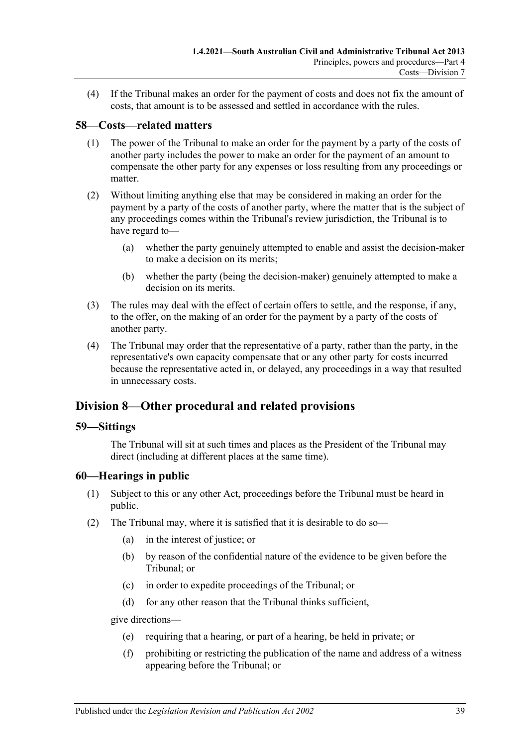(4) If the Tribunal makes an order for the payment of costs and does not fix the amount of costs, that amount is to be assessed and settled in accordance with the rules.

# <span id="page-38-0"></span>**58—Costs—related matters**

- (1) The power of the Tribunal to make an order for the payment by a party of the costs of another party includes the power to make an order for the payment of an amount to compensate the other party for any expenses or loss resulting from any proceedings or matter.
- (2) Without limiting anything else that may be considered in making an order for the payment by a party of the costs of another party, where the matter that is the subject of any proceedings comes within the Tribunal's review jurisdiction, the Tribunal is to have regard to—
	- (a) whether the party genuinely attempted to enable and assist the decision-maker to make a decision on its merits;
	- (b) whether the party (being the decision-maker) genuinely attempted to make a decision on its merits.
- (3) The rules may deal with the effect of certain offers to settle, and the response, if any, to the offer, on the making of an order for the payment by a party of the costs of another party.
- (4) The Tribunal may order that the representative of a party, rather than the party, in the representative's own capacity compensate that or any other party for costs incurred because the representative acted in, or delayed, any proceedings in a way that resulted in unnecessary costs.

# <span id="page-38-1"></span>**Division 8—Other procedural and related provisions**

### <span id="page-38-2"></span>**59—Sittings**

The Tribunal will sit at such times and places as the President of the Tribunal may direct (including at different places at the same time).

### <span id="page-38-3"></span>**60—Hearings in public**

- (1) Subject to this or any other Act, proceedings before the Tribunal must be heard in public.
- <span id="page-38-4"></span>(2) The Tribunal may, where it is satisfied that it is desirable to do so—
	- (a) in the interest of justice; or
	- (b) by reason of the confidential nature of the evidence to be given before the Tribunal; or
	- (c) in order to expedite proceedings of the Tribunal; or
	- (d) for any other reason that the Tribunal thinks sufficient,

give directions—

- (e) requiring that a hearing, or part of a hearing, be held in private; or
- (f) prohibiting or restricting the publication of the name and address of a witness appearing before the Tribunal; or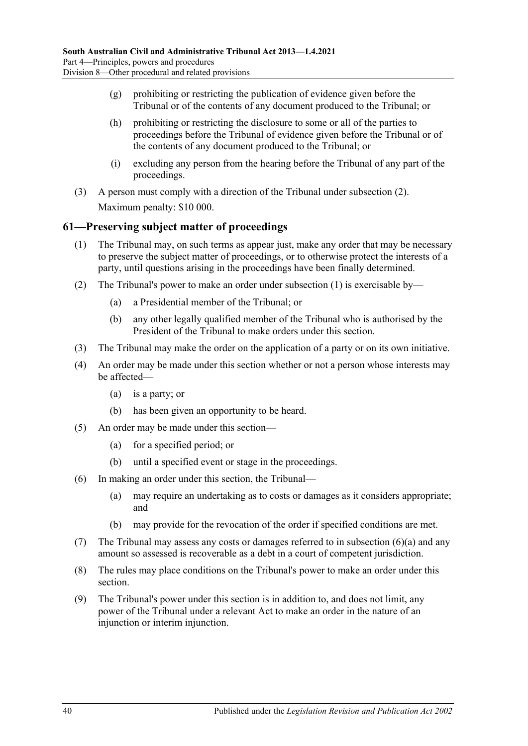- (g) prohibiting or restricting the publication of evidence given before the Tribunal or of the contents of any document produced to the Tribunal; or
- (h) prohibiting or restricting the disclosure to some or all of the parties to proceedings before the Tribunal of evidence given before the Tribunal or of the contents of any document produced to the Tribunal; or
- (i) excluding any person from the hearing before the Tribunal of any part of the proceedings.
- (3) A person must comply with a direction of the Tribunal under [subsection](#page-38-4) (2). Maximum penalty: \$10 000.

# <span id="page-39-1"></span><span id="page-39-0"></span>**61—Preserving subject matter of proceedings**

- (1) The Tribunal may, on such terms as appear just, make any order that may be necessary to preserve the subject matter of proceedings, or to otherwise protect the interests of a party, until questions arising in the proceedings have been finally determined.
- (2) The Tribunal's power to make an order under [subsection](#page-39-1) (1) is exercisable by—
	- (a) a Presidential member of the Tribunal; or
	- (b) any other legally qualified member of the Tribunal who is authorised by the President of the Tribunal to make orders under this section.
- (3) The Tribunal may make the order on the application of a party or on its own initiative.
- (4) An order may be made under this section whether or not a person whose interests may be affected—
	- (a) is a party; or
	- (b) has been given an opportunity to be heard.
- (5) An order may be made under this section—
	- (a) for a specified period; or
	- (b) until a specified event or stage in the proceedings.
- <span id="page-39-2"></span>(6) In making an order under this section, the Tribunal—
	- (a) may require an undertaking as to costs or damages as it considers appropriate; and
	- (b) may provide for the revocation of the order if specified conditions are met.
- (7) The Tribunal may assess any costs or damages referred to in [subsection](#page-39-2) (6)(a) and any amount so assessed is recoverable as a debt in a court of competent jurisdiction.
- (8) The rules may place conditions on the Tribunal's power to make an order under this section.
- (9) The Tribunal's power under this section is in addition to, and does not limit, any power of the Tribunal under a relevant Act to make an order in the nature of an injunction or interim injunction.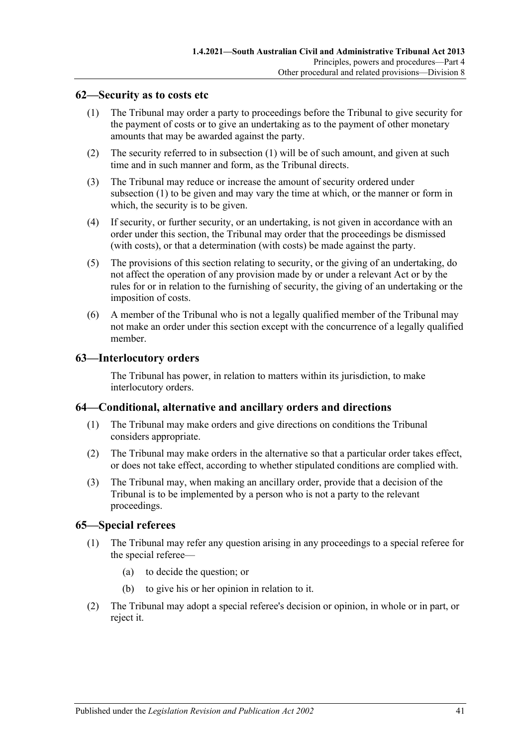### <span id="page-40-4"></span><span id="page-40-0"></span>**62—Security as to costs etc**

- (1) The Tribunal may order a party to proceedings before the Tribunal to give security for the payment of costs or to give an undertaking as to the payment of other monetary amounts that may be awarded against the party.
- (2) The security referred to in [subsection](#page-40-4) (1) will be of such amount, and given at such time and in such manner and form, as the Tribunal directs.
- (3) The Tribunal may reduce or increase the amount of security ordered under [subsection](#page-40-4) (1) to be given and may vary the time at which, or the manner or form in which, the security is to be given.
- (4) If security, or further security, or an undertaking, is not given in accordance with an order under this section, the Tribunal may order that the proceedings be dismissed (with costs), or that a determination (with costs) be made against the party.
- (5) The provisions of this section relating to security, or the giving of an undertaking, do not affect the operation of any provision made by or under a relevant Act or by the rules for or in relation to the furnishing of security, the giving of an undertaking or the imposition of costs.
- (6) A member of the Tribunal who is not a legally qualified member of the Tribunal may not make an order under this section except with the concurrence of a legally qualified member.

### <span id="page-40-1"></span>**63—Interlocutory orders**

The Tribunal has power, in relation to matters within its jurisdiction, to make interlocutory orders.

### <span id="page-40-2"></span>**64—Conditional, alternative and ancillary orders and directions**

- (1) The Tribunal may make orders and give directions on conditions the Tribunal considers appropriate.
- (2) The Tribunal may make orders in the alternative so that a particular order takes effect, or does not take effect, according to whether stipulated conditions are complied with.
- (3) The Tribunal may, when making an ancillary order, provide that a decision of the Tribunal is to be implemented by a person who is not a party to the relevant proceedings.

### <span id="page-40-3"></span>**65—Special referees**

- (1) The Tribunal may refer any question arising in any proceedings to a special referee for the special referee—
	- (a) to decide the question; or
	- (b) to give his or her opinion in relation to it.
- (2) The Tribunal may adopt a special referee's decision or opinion, in whole or in part, or reject it.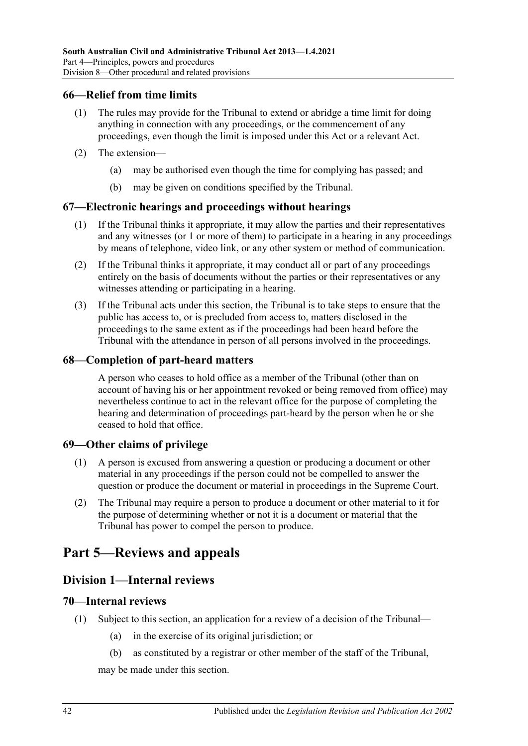### <span id="page-41-0"></span>**66—Relief from time limits**

- (1) The rules may provide for the Tribunal to extend or abridge a time limit for doing anything in connection with any proceedings, or the commencement of any proceedings, even though the limit is imposed under this Act or a relevant Act.
- (2) The extension—
	- (a) may be authorised even though the time for complying has passed; and
	- (b) may be given on conditions specified by the Tribunal.

### <span id="page-41-1"></span>**67—Electronic hearings and proceedings without hearings**

- (1) If the Tribunal thinks it appropriate, it may allow the parties and their representatives and any witnesses (or 1 or more of them) to participate in a hearing in any proceedings by means of telephone, video link, or any other system or method of communication.
- (2) If the Tribunal thinks it appropriate, it may conduct all or part of any proceedings entirely on the basis of documents without the parties or their representatives or any witnesses attending or participating in a hearing.
- (3) If the Tribunal acts under this section, the Tribunal is to take steps to ensure that the public has access to, or is precluded from access to, matters disclosed in the proceedings to the same extent as if the proceedings had been heard before the Tribunal with the attendance in person of all persons involved in the proceedings.

### <span id="page-41-2"></span>**68—Completion of part-heard matters**

A person who ceases to hold office as a member of the Tribunal (other than on account of having his or her appointment revoked or being removed from office) may nevertheless continue to act in the relevant office for the purpose of completing the hearing and determination of proceedings part-heard by the person when he or she ceased to hold that office.

### <span id="page-41-3"></span>**69—Other claims of privilege**

- (1) A person is excused from answering a question or producing a document or other material in any proceedings if the person could not be compelled to answer the question or produce the document or material in proceedings in the Supreme Court.
- (2) The Tribunal may require a person to produce a document or other material to it for the purpose of determining whether or not it is a document or material that the Tribunal has power to compel the person to produce.

# <span id="page-41-5"></span><span id="page-41-4"></span>**Part 5—Reviews and appeals**

## **Division 1—Internal reviews**

### <span id="page-41-6"></span>**70—Internal reviews**

- <span id="page-41-8"></span><span id="page-41-7"></span>(1) Subject to this section, an application for a review of a decision of the Tribunal—
	- (a) in the exercise of its original jurisdiction; or
	- (b) as constituted by a registrar or other member of the staff of the Tribunal,

may be made under this section.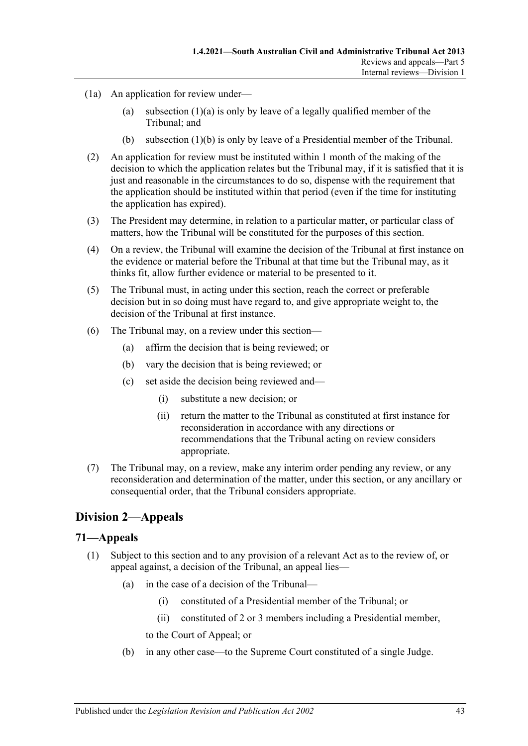- (1a) An application for review under
	- (a) [subsection](#page-41-7)  $(1)(a)$  is only by leave of a legally qualified member of the Tribunal; and
	- (b) [subsection](#page-41-8) (1)(b) is only by leave of a Presidential member of the Tribunal.
- (2) An application for review must be instituted within 1 month of the making of the decision to which the application relates but the Tribunal may, if it is satisfied that it is just and reasonable in the circumstances to do so, dispense with the requirement that the application should be instituted within that period (even if the time for instituting the application has expired).
- (3) The President may determine, in relation to a particular matter, or particular class of matters, how the Tribunal will be constituted for the purposes of this section.
- (4) On a review, the Tribunal will examine the decision of the Tribunal at first instance on the evidence or material before the Tribunal at that time but the Tribunal may, as it thinks fit, allow further evidence or material to be presented to it.
- (5) The Tribunal must, in acting under this section, reach the correct or preferable decision but in so doing must have regard to, and give appropriate weight to, the decision of the Tribunal at first instance.
- (6) The Tribunal may, on a review under this section—
	- (a) affirm the decision that is being reviewed; or
	- (b) vary the decision that is being reviewed; or
	- (c) set aside the decision being reviewed and—
		- (i) substitute a new decision; or
		- (ii) return the matter to the Tribunal as constituted at first instance for reconsideration in accordance with any directions or recommendations that the Tribunal acting on review considers appropriate.
- (7) The Tribunal may, on a review, make any interim order pending any review, or any reconsideration and determination of the matter, under this section, or any ancillary or consequential order, that the Tribunal considers appropriate.

# <span id="page-42-0"></span>**Division 2—Appeals**

### <span id="page-42-2"></span><span id="page-42-1"></span>**71—Appeals**

- (1) Subject to this section and to any provision of a relevant Act as to the review of, or appeal against, a decision of the Tribunal, an appeal lies—
	- (a) in the case of a decision of the Tribunal—
		- (i) constituted of a Presidential member of the Tribunal; or
		- (ii) constituted of 2 or 3 members including a Presidential member,
		- to the Court of Appeal; or
	- (b) in any other case—to the Supreme Court constituted of a single Judge.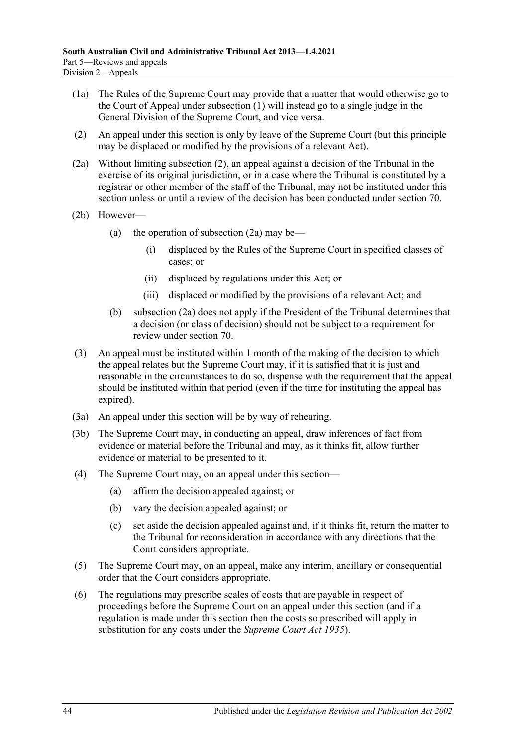- (1a) The Rules of the Supreme Court may provide that a matter that would otherwise go to the Court of Appeal under [subsection](#page-42-2) (1) will instead go to a single judge in the General Division of the Supreme Court, and vice versa.
- <span id="page-43-0"></span>(2) An appeal under this section is only by leave of the Supreme Court (but this principle may be displaced or modified by the provisions of a relevant Act).
- <span id="page-43-1"></span>(2a) Without limiting [subsection](#page-43-0) (2), an appeal against a decision of the Tribunal in the exercise of its original jurisdiction, or in a case where the Tribunal is constituted by a registrar or other member of the staff of the Tribunal, may not be instituted under this section unless or until a review of the decision has been conducted under [section](#page-41-6) 70.
- (2b) However
	- (a) the operation of [subsection](#page-43-1)  $(2a)$  may be—
		- (i) displaced by the Rules of the Supreme Court in specified classes of cases; or
		- (ii) displaced by regulations under this Act; or
		- (iii) displaced or modified by the provisions of a relevant Act; and
	- (b) [subsection](#page-43-1) (2a) does not apply if the President of the Tribunal determines that a decision (or class of decision) should not be subject to a requirement for review under [section](#page-41-6) 70.
- (3) An appeal must be instituted within 1 month of the making of the decision to which the appeal relates but the Supreme Court may, if it is satisfied that it is just and reasonable in the circumstances to do so, dispense with the requirement that the appeal should be instituted within that period (even if the time for instituting the appeal has expired).
- (3a) An appeal under this section will be by way of rehearing.
- (3b) The Supreme Court may, in conducting an appeal, draw inferences of fact from evidence or material before the Tribunal and may, as it thinks fit, allow further evidence or material to be presented to it.
- (4) The Supreme Court may, on an appeal under this section—
	- (a) affirm the decision appealed against; or
	- (b) vary the decision appealed against; or
	- (c) set aside the decision appealed against and, if it thinks fit, return the matter to the Tribunal for reconsideration in accordance with any directions that the Court considers appropriate.
- (5) The Supreme Court may, on an appeal, make any interim, ancillary or consequential order that the Court considers appropriate.
- (6) The regulations may prescribe scales of costs that are payable in respect of proceedings before the Supreme Court on an appeal under this section (and if a regulation is made under this section then the costs so prescribed will apply in substitution for any costs under the *[Supreme Court Act](http://www.legislation.sa.gov.au/index.aspx?action=legref&type=act&legtitle=Supreme%20Court%20Act%201935) 1935*).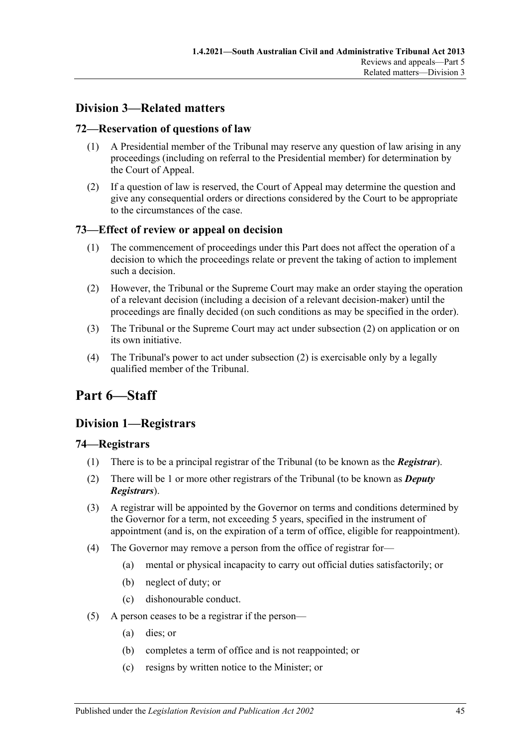# <span id="page-44-0"></span>**Division 3—Related matters**

# <span id="page-44-1"></span>**72—Reservation of questions of law**

- (1) A Presidential member of the Tribunal may reserve any question of law arising in any proceedings (including on referral to the Presidential member) for determination by the Court of Appeal.
- (2) If a question of law is reserved, the Court of Appeal may determine the question and give any consequential orders or directions considered by the Court to be appropriate to the circumstances of the case.

# <span id="page-44-2"></span>**73—Effect of review or appeal on decision**

- (1) The commencement of proceedings under this Part does not affect the operation of a decision to which the proceedings relate or prevent the taking of action to implement such a decision.
- <span id="page-44-6"></span>(2) However, the Tribunal or the Supreme Court may make an order staying the operation of a relevant decision (including a decision of a relevant decision-maker) until the proceedings are finally decided (on such conditions as may be specified in the order).
- (3) The Tribunal or the Supreme Court may act under [subsection](#page-44-6) (2) on application or on its own initiative.
- (4) The Tribunal's power to act under [subsection](#page-44-6) (2) is exercisable only by a legally qualified member of the Tribunal.

# <span id="page-44-3"></span>**Part 6—Staff**

# <span id="page-44-4"></span>**Division 1—Registrars**

### <span id="page-44-5"></span>**74—Registrars**

- (1) There is to be a principal registrar of the Tribunal (to be known as the *Registrar*).
- (2) There will be 1 or more other registrars of the Tribunal (to be known as *Deputy Registrars*).
- (3) A registrar will be appointed by the Governor on terms and conditions determined by the Governor for a term, not exceeding 5 years, specified in the instrument of appointment (and is, on the expiration of a term of office, eligible for reappointment).
- <span id="page-44-7"></span>(4) The Governor may remove a person from the office of registrar for—
	- (a) mental or physical incapacity to carry out official duties satisfactorily; or
	- (b) neglect of duty; or
	- (c) dishonourable conduct.
- (5) A person ceases to be a registrar if the person—
	- (a) dies; or
	- (b) completes a term of office and is not reappointed; or
	- (c) resigns by written notice to the Minister; or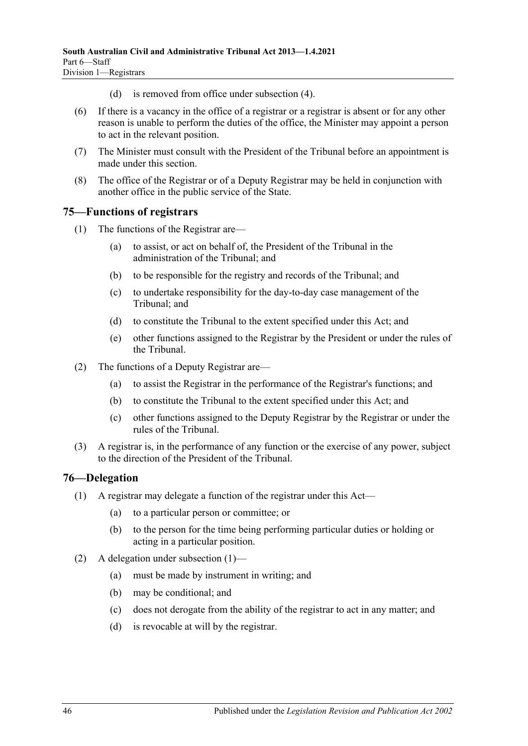- (d) is removed from office under [subsection](#page-44-7) (4).
- (6) If there is a vacancy in the office of a registrar or a registrar is absent or for any other reason is unable to perform the duties of the office, the Minister may appoint a person to act in the relevant position.
- (7) The Minister must consult with the President of the Tribunal before an appointment is made under this section.
- (8) The office of the Registrar or of a Deputy Registrar may be held in conjunction with another office in the public service of the State.

### <span id="page-45-0"></span>**75—Functions of registrars**

- (1) The functions of the Registrar are—
	- (a) to assist, or act on behalf of, the President of the Tribunal in the administration of the Tribunal; and
	- (b) to be responsible for the registry and records of the Tribunal; and
	- (c) to undertake responsibility for the day-to-day case management of the Tribunal; and
	- (d) to constitute the Tribunal to the extent specified under this Act; and
	- (e) other functions assigned to the Registrar by the President or under the rules of the Tribunal.
- (2) The functions of a Deputy Registrar are—
	- (a) to assist the Registrar in the performance of the Registrar's functions; and
	- (b) to constitute the Tribunal to the extent specified under this Act; and
	- (c) other functions assigned to the Deputy Registrar by the Registrar or under the rules of the Tribunal.
- (3) A registrar is, in the performance of any function or the exercise of any power, subject to the direction of the President of the Tribunal.

### <span id="page-45-2"></span><span id="page-45-1"></span>**76—Delegation**

- (1) A registrar may delegate a function of the registrar under this Act—
	- (a) to a particular person or committee; or
	- (b) to the person for the time being performing particular duties or holding or acting in a particular position.
- (2) A delegation under [subsection](#page-45-2) (1)—
	- (a) must be made by instrument in writing; and
	- (b) may be conditional; and
	- (c) does not derogate from the ability of the registrar to act in any matter; and
	- (d) is revocable at will by the registrar.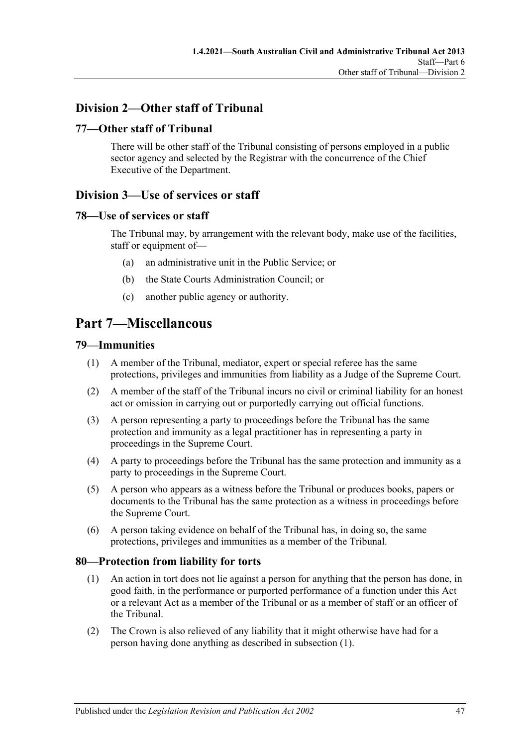# <span id="page-46-0"></span>**Division 2—Other staff of Tribunal**

# <span id="page-46-1"></span>**77—Other staff of Tribunal**

There will be other staff of the Tribunal consisting of persons employed in a public sector agency and selected by the Registrar with the concurrence of the Chief Executive of the Department.

# <span id="page-46-2"></span>**Division 3—Use of services or staff**

# <span id="page-46-3"></span>**78—Use of services or staff**

The Tribunal may, by arrangement with the relevant body, make use of the facilities, staff or equipment of—

- (a) an administrative unit in the Public Service; or
- (b) the State Courts Administration Council; or
- (c) another public agency or authority.

# <span id="page-46-4"></span>**Part 7—Miscellaneous**

### <span id="page-46-5"></span>**79—Immunities**

- (1) A member of the Tribunal, mediator, expert or special referee has the same protections, privileges and immunities from liability as a Judge of the Supreme Court.
- (2) A member of the staff of the Tribunal incurs no civil or criminal liability for an honest act or omission in carrying out or purportedly carrying out official functions.
- (3) A person representing a party to proceedings before the Tribunal has the same protection and immunity as a legal practitioner has in representing a party in proceedings in the Supreme Court.
- (4) A party to proceedings before the Tribunal has the same protection and immunity as a party to proceedings in the Supreme Court.
- (5) A person who appears as a witness before the Tribunal or produces books, papers or documents to the Tribunal has the same protection as a witness in proceedings before the Supreme Court.
- (6) A person taking evidence on behalf of the Tribunal has, in doing so, the same protections, privileges and immunities as a member of the Tribunal.

### <span id="page-46-7"></span><span id="page-46-6"></span>**80—Protection from liability for torts**

- (1) An action in tort does not lie against a person for anything that the person has done, in good faith, in the performance or purported performance of a function under this Act or a relevant Act as a member of the Tribunal or as a member of staff or an officer of the Tribunal.
- (2) The Crown is also relieved of any liability that it might otherwise have had for a person having done anything as described in [subsection](#page-46-7) (1).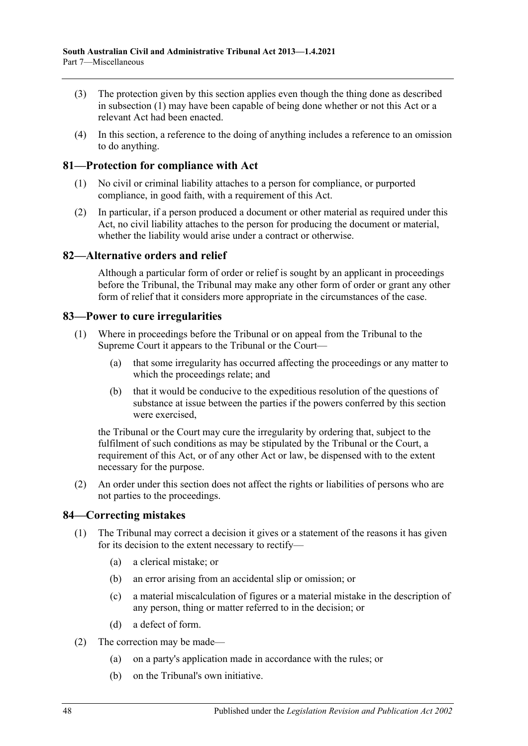- (3) The protection given by this section applies even though the thing done as described in [subsection](#page-46-7) (1) may have been capable of being done whether or not this Act or a relevant Act had been enacted.
- (4) In this section, a reference to the doing of anything includes a reference to an omission to do anything.

## <span id="page-47-0"></span>**81—Protection for compliance with Act**

- (1) No civil or criminal liability attaches to a person for compliance, or purported compliance, in good faith, with a requirement of this Act.
- (2) In particular, if a person produced a document or other material as required under this Act, no civil liability attaches to the person for producing the document or material, whether the liability would arise under a contract or otherwise.

# <span id="page-47-1"></span>**82—Alternative orders and relief**

Although a particular form of order or relief is sought by an applicant in proceedings before the Tribunal, the Tribunal may make any other form of order or grant any other form of relief that it considers more appropriate in the circumstances of the case.

### <span id="page-47-2"></span>**83—Power to cure irregularities**

- (1) Where in proceedings before the Tribunal or on appeal from the Tribunal to the Supreme Court it appears to the Tribunal or the Court—
	- (a) that some irregularity has occurred affecting the proceedings or any matter to which the proceedings relate; and
	- (b) that it would be conducive to the expeditious resolution of the questions of substance at issue between the parties if the powers conferred by this section were exercised,

the Tribunal or the Court may cure the irregularity by ordering that, subject to the fulfilment of such conditions as may be stipulated by the Tribunal or the Court, a requirement of this Act, or of any other Act or law, be dispensed with to the extent necessary for the purpose.

(2) An order under this section does not affect the rights or liabilities of persons who are not parties to the proceedings.

### <span id="page-47-3"></span>**84—Correcting mistakes**

- (1) The Tribunal may correct a decision it gives or a statement of the reasons it has given for its decision to the extent necessary to rectify—
	- (a) a clerical mistake; or
	- (b) an error arising from an accidental slip or omission; or
	- (c) a material miscalculation of figures or a material mistake in the description of any person, thing or matter referred to in the decision; or
	- (d) a defect of form.
- (2) The correction may be made—
	- (a) on a party's application made in accordance with the rules; or
	- (b) on the Tribunal's own initiative.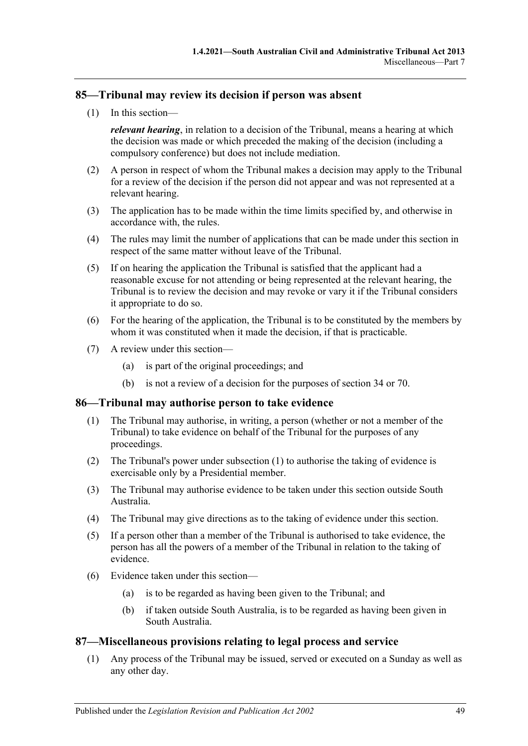### <span id="page-48-0"></span>**85—Tribunal may review its decision if person was absent**

(1) In this section—

*relevant hearing*, in relation to a decision of the Tribunal, means a hearing at which the decision was made or which preceded the making of the decision (including a compulsory conference) but does not include mediation.

- (2) A person in respect of whom the Tribunal makes a decision may apply to the Tribunal for a review of the decision if the person did not appear and was not represented at a relevant hearing.
- (3) The application has to be made within the time limits specified by, and otherwise in accordance with, the rules.
- (4) The rules may limit the number of applications that can be made under this section in respect of the same matter without leave of the Tribunal.
- (5) If on hearing the application the Tribunal is satisfied that the applicant had a reasonable excuse for not attending or being represented at the relevant hearing, the Tribunal is to review the decision and may revoke or vary it if the Tribunal considers it appropriate to do so.
- (6) For the hearing of the application, the Tribunal is to be constituted by the members by whom it was constituted when it made the decision, if that is practicable.
- (7) A review under this section—
	- (a) is part of the original proceedings; and
	- (b) is not a review of a decision for the purposes of [section](#page-21-4) 34 or [70.](#page-41-6)

### <span id="page-48-3"></span><span id="page-48-1"></span>**86—Tribunal may authorise person to take evidence**

- (1) The Tribunal may authorise, in writing, a person (whether or not a member of the Tribunal) to take evidence on behalf of the Tribunal for the purposes of any proceedings.
- (2) The Tribunal's power under [subsection](#page-48-3) (1) to authorise the taking of evidence is exercisable only by a Presidential member.
- (3) The Tribunal may authorise evidence to be taken under this section outside South Australia.
- (4) The Tribunal may give directions as to the taking of evidence under this section.
- (5) If a person other than a member of the Tribunal is authorised to take evidence, the person has all the powers of a member of the Tribunal in relation to the taking of evidence.
- (6) Evidence taken under this section—
	- (a) is to be regarded as having been given to the Tribunal; and
	- (b) if taken outside South Australia, is to be regarded as having been given in South Australia.

### <span id="page-48-2"></span>**87—Miscellaneous provisions relating to legal process and service**

(1) Any process of the Tribunal may be issued, served or executed on a Sunday as well as any other day.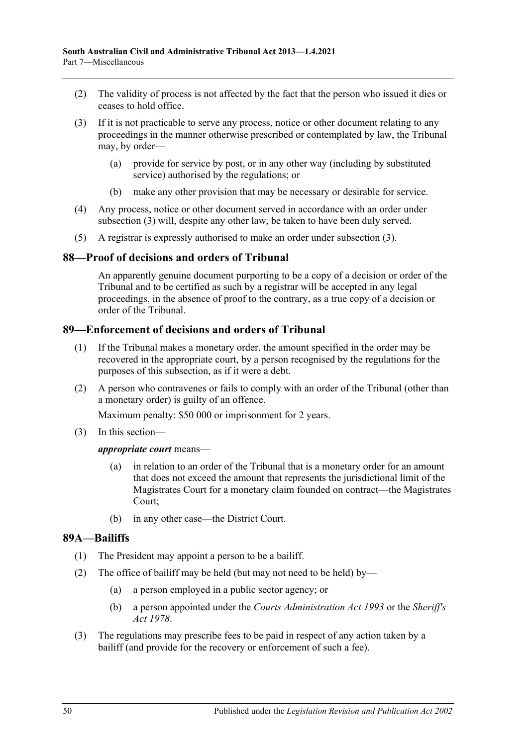- (2) The validity of process is not affected by the fact that the person who issued it dies or ceases to hold office.
- <span id="page-49-3"></span>(3) If it is not practicable to serve any process, notice or other document relating to any proceedings in the manner otherwise prescribed or contemplated by law, the Tribunal may, by order—
	- (a) provide for service by post, or in any other way (including by substituted service) authorised by the regulations; or
	- (b) make any other provision that may be necessary or desirable for service.
- (4) Any process, notice or other document served in accordance with an order under [subsection](#page-49-3) (3) will, despite any other law, be taken to have been duly served.
- (5) A registrar is expressly authorised to make an order under [subsection](#page-49-3) (3).

### <span id="page-49-0"></span>**88—Proof of decisions and orders of Tribunal**

An apparently genuine document purporting to be a copy of a decision or order of the Tribunal and to be certified as such by a registrar will be accepted in any legal proceedings, in the absence of proof to the contrary, as a true copy of a decision or order of the Tribunal.

### <span id="page-49-1"></span>**89—Enforcement of decisions and orders of Tribunal**

- (1) If the Tribunal makes a monetary order, the amount specified in the order may be recovered in the appropriate court, by a person recognised by the regulations for the purposes of this subsection, as if it were a debt.
- (2) A person who contravenes or fails to comply with an order of the Tribunal (other than a monetary order) is guilty of an offence.

Maximum penalty: \$50 000 or imprisonment for 2 years.

(3) In this section—

#### *appropriate court* means—

- (a) in relation to an order of the Tribunal that is a monetary order for an amount that does not exceed the amount that represents the jurisdictional limit of the Magistrates Court for a monetary claim founded on contract—the Magistrates Court;
- (b) in any other case—the District Court.

### <span id="page-49-2"></span>**89A—Bailiffs**

- (1) The President may appoint a person to be a bailiff.
- (2) The office of bailiff may be held (but may not need to be held) by—
	- (a) a person employed in a public sector agency; or
	- (b) a person appointed under the *[Courts Administration Act](http://www.legislation.sa.gov.au/index.aspx?action=legref&type=act&legtitle=Courts%20Administration%20Act%201993) 1993* or the *[Sheriff's](http://www.legislation.sa.gov.au/index.aspx?action=legref&type=act&legtitle=Sheriffs%20Act%201978)  Act [1978](http://www.legislation.sa.gov.au/index.aspx?action=legref&type=act&legtitle=Sheriffs%20Act%201978)*.
- (3) The regulations may prescribe fees to be paid in respect of any action taken by a bailiff (and provide for the recovery or enforcement of such a fee).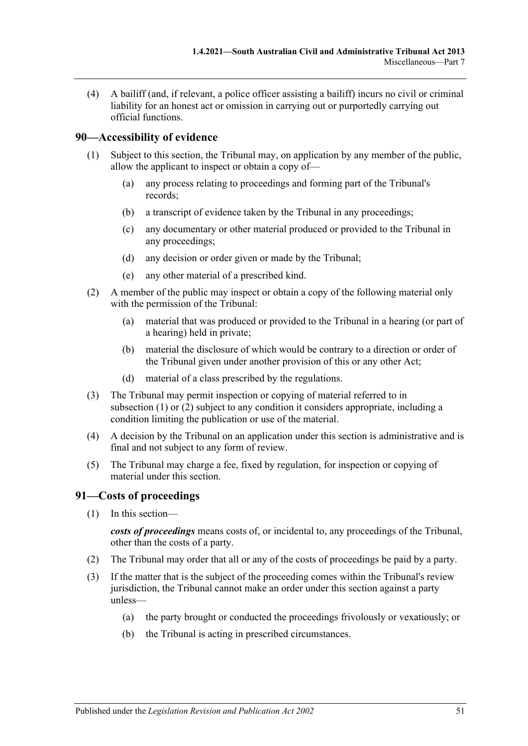(4) A bailiff (and, if relevant, a police officer assisting a bailiff) incurs no civil or criminal liability for an honest act or omission in carrying out or purportedly carrying out official functions.

## <span id="page-50-2"></span><span id="page-50-0"></span>**90—Accessibility of evidence**

- (1) Subject to this section, the Tribunal may, on application by any member of the public, allow the applicant to inspect or obtain a copy of—
	- (a) any process relating to proceedings and forming part of the Tribunal's records;
	- (b) a transcript of evidence taken by the Tribunal in any proceedings;
	- (c) any documentary or other material produced or provided to the Tribunal in any proceedings;
	- (d) any decision or order given or made by the Tribunal;
	- (e) any other material of a prescribed kind.
- <span id="page-50-3"></span>(2) A member of the public may inspect or obtain a copy of the following material only with the permission of the Tribunal:
	- (a) material that was produced or provided to the Tribunal in a hearing (or part of a hearing) held in private;
	- (b) material the disclosure of which would be contrary to a direction or order of the Tribunal given under another provision of this or any other Act;
	- (d) material of a class prescribed by the regulations.
- (3) The Tribunal may permit inspection or copying of material referred to in [subsection](#page-50-2) (1) or [\(2\)](#page-50-3) subject to any condition it considers appropriate, including a condition limiting the publication or use of the material.
- (4) A decision by the Tribunal on an application under this section is administrative and is final and not subject to any form of review.
- (5) The Tribunal may charge a fee, fixed by regulation, for inspection or copying of material under this section.

### <span id="page-50-1"></span>**91—Costs of proceedings**

(1) In this section—

*costs of proceedings* means costs of, or incidental to, any proceedings of the Tribunal, other than the costs of a party.

- (2) The Tribunal may order that all or any of the costs of proceedings be paid by a party.
- (3) If the matter that is the subject of the proceeding comes within the Tribunal's review jurisdiction, the Tribunal cannot make an order under this section against a party unless—
	- (a) the party brought or conducted the proceedings frivolously or vexatiously; or
	- (b) the Tribunal is acting in prescribed circumstances.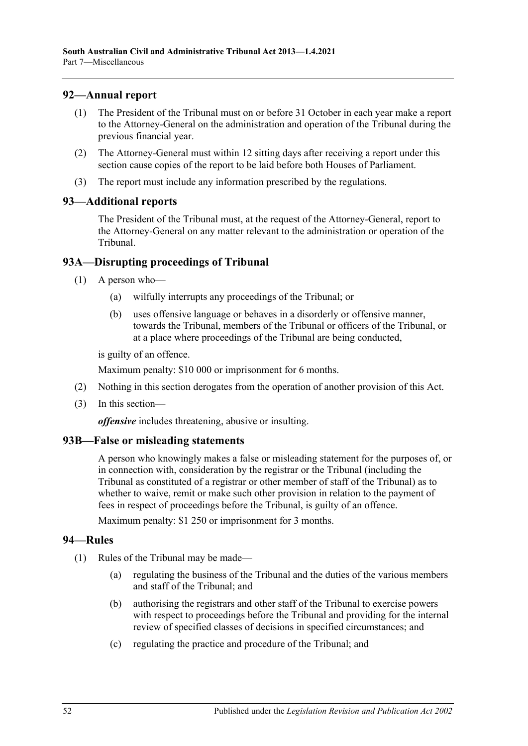# <span id="page-51-0"></span>**92—Annual report**

- (1) The President of the Tribunal must on or before 31 October in each year make a report to the Attorney-General on the administration and operation of the Tribunal during the previous financial year.
- (2) The Attorney-General must within 12 sitting days after receiving a report under this section cause copies of the report to be laid before both Houses of Parliament.
- (3) The report must include any information prescribed by the regulations.

### <span id="page-51-1"></span>**93—Additional reports**

The President of the Tribunal must, at the request of the Attorney-General, report to the Attorney-General on any matter relevant to the administration or operation of the Tribunal.

# <span id="page-51-2"></span>**93A—Disrupting proceedings of Tribunal**

- (1) A person who—
	- (a) wilfully interrupts any proceedings of the Tribunal; or
	- (b) uses offensive language or behaves in a disorderly or offensive manner, towards the Tribunal, members of the Tribunal or officers of the Tribunal, or at a place where proceedings of the Tribunal are being conducted,

is guilty of an offence.

Maximum penalty: \$10 000 or imprisonment for 6 months.

- (2) Nothing in this section derogates from the operation of another provision of this Act.
- (3) In this section—

*offensive* includes threatening, abusive or insulting.

# <span id="page-51-3"></span>**93B—False or misleading statements**

A person who knowingly makes a false or misleading statement for the purposes of, or in connection with, consideration by the registrar or the Tribunal (including the Tribunal as constituted of a registrar or other member of staff of the Tribunal) as to whether to waive, remit or make such other provision in relation to the payment of fees in respect of proceedings before the Tribunal, is guilty of an offence.

Maximum penalty: \$1 250 or imprisonment for 3 months.

# <span id="page-51-4"></span>**94—Rules**

- (1) Rules of the Tribunal may be made—
	- (a) regulating the business of the Tribunal and the duties of the various members and staff of the Tribunal; and
	- (b) authorising the registrars and other staff of the Tribunal to exercise powers with respect to proceedings before the Tribunal and providing for the internal review of specified classes of decisions in specified circumstances; and
	- (c) regulating the practice and procedure of the Tribunal; and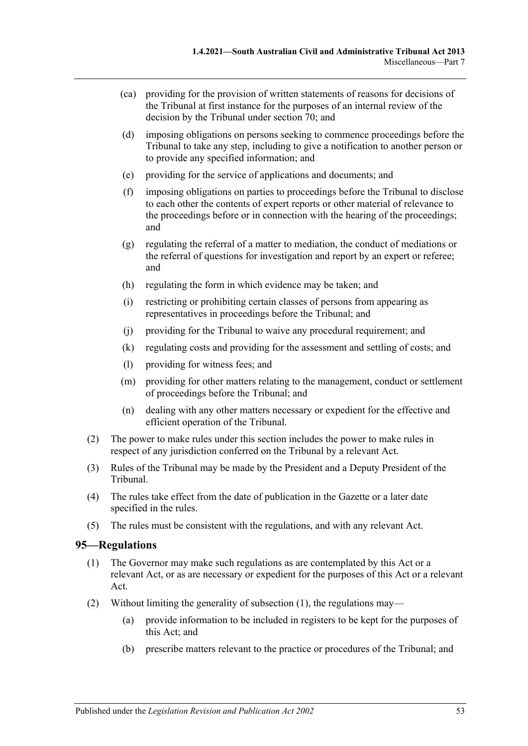- (ca) providing for the provision of written statements of reasons for decisions of the Tribunal at first instance for the purposes of an internal review of the decision by the Tribunal under [section](#page-41-6) 70; and
- (d) imposing obligations on persons seeking to commence proceedings before the Tribunal to take any step, including to give a notification to another person or to provide any specified information; and
- (e) providing for the service of applications and documents; and
- (f) imposing obligations on parties to proceedings before the Tribunal to disclose to each other the contents of expert reports or other material of relevance to the proceedings before or in connection with the hearing of the proceedings; and
- (g) regulating the referral of a matter to mediation, the conduct of mediations or the referral of questions for investigation and report by an expert or referee; and
- (h) regulating the form in which evidence may be taken; and
- (i) restricting or prohibiting certain classes of persons from appearing as representatives in proceedings before the Tribunal; and
- (j) providing for the Tribunal to waive any procedural requirement; and
- (k) regulating costs and providing for the assessment and settling of costs; and
- (l) providing for witness fees; and
- (m) providing for other matters relating to the management, conduct or settlement of proceedings before the Tribunal; and
- (n) dealing with any other matters necessary or expedient for the effective and efficient operation of the Tribunal.
- (2) The power to make rules under this section includes the power to make rules in respect of any jurisdiction conferred on the Tribunal by a relevant Act.
- (3) Rules of the Tribunal may be made by the President and a Deputy President of the Tribunal.
- (4) The rules take effect from the date of publication in the Gazette or a later date specified in the rules.
- (5) The rules must be consistent with the regulations, and with any relevant Act.

### <span id="page-52-1"></span><span id="page-52-0"></span>**95—Regulations**

- (1) The Governor may make such regulations as are contemplated by this Act or a relevant Act, or as are necessary or expedient for the purposes of this Act or a relevant Act.
- (2) Without limiting the generality of [subsection](#page-52-1) (1), the regulations may—
	- (a) provide information to be included in registers to be kept for the purposes of this Act; and
	- (b) prescribe matters relevant to the practice or procedures of the Tribunal; and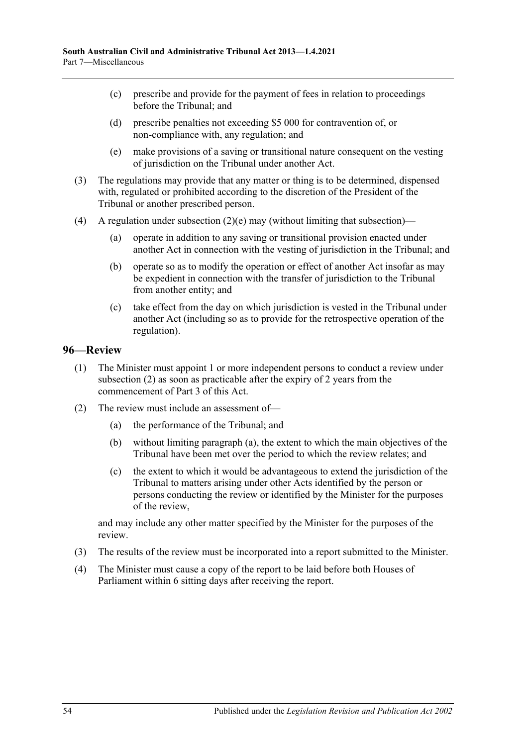- (c) prescribe and provide for the payment of fees in relation to proceedings before the Tribunal; and
- (d) prescribe penalties not exceeding \$5 000 for contravention of, or non-compliance with, any regulation; and
- (e) make provisions of a saving or transitional nature consequent on the vesting of jurisdiction on the Tribunal under another Act.
- <span id="page-53-1"></span>(3) The regulations may provide that any matter or thing is to be determined, dispensed with, regulated or prohibited according to the discretion of the President of the Tribunal or another prescribed person.
- (4) A regulation under [subsection](#page-53-1)  $(2)(e)$  may (without limiting that subsection)—
	- (a) operate in addition to any saving or transitional provision enacted under another Act in connection with the vesting of jurisdiction in the Tribunal; and
	- (b) operate so as to modify the operation or effect of another Act insofar as may be expedient in connection with the transfer of jurisdiction to the Tribunal from another entity; and
	- (c) take effect from the day on which jurisdiction is vested in the Tribunal under another Act (including so as to provide for the retrospective operation of the regulation).

# <span id="page-53-0"></span>**96—Review**

- (1) The Minister must appoint 1 or more independent persons to conduct a review under [subsection](#page-53-2) (2) as soon as practicable after the expiry of 2 years from the commencement of [Part](#page-20-2) 3 of this Act.
- <span id="page-53-3"></span><span id="page-53-2"></span>(2) The review must include an assessment of—
	- (a) the performance of the Tribunal; and
	- (b) without limiting [paragraph](#page-53-3) (a), the extent to which the main objectives of the Tribunal have been met over the period to which the review relates; and
	- (c) the extent to which it would be advantageous to extend the jurisdiction of the Tribunal to matters arising under other Acts identified by the person or persons conducting the review or identified by the Minister for the purposes of the review,

and may include any other matter specified by the Minister for the purposes of the review.

- (3) The results of the review must be incorporated into a report submitted to the Minister.
- (4) The Minister must cause a copy of the report to be laid before both Houses of Parliament within 6 sitting days after receiving the report.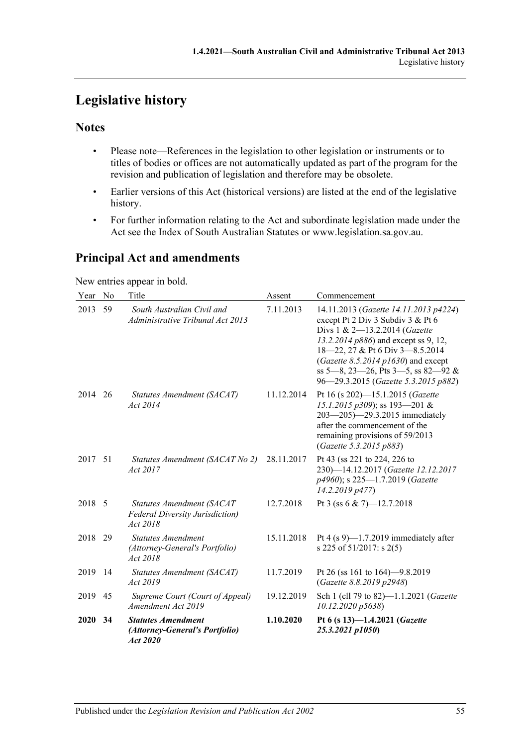# <span id="page-54-0"></span>**Legislative history**

# **Notes**

- Please note—References in the legislation to other legislation or instruments or to titles of bodies or offices are not automatically updated as part of the program for the revision and publication of legislation and therefore may be obsolete.
- Earlier versions of this Act (historical versions) are listed at the end of the legislative history.
- For further information relating to the Act and subordinate legislation made under the Act see the Index of South Australian Statutes or www.legislation.sa.gov.au.

# **Principal Act and amendments**

New entries appear in bold.

| Year No |    | Title                                                                           | Assent     | Commencement                                                                                                                                                                                                                                                                                                |
|---------|----|---------------------------------------------------------------------------------|------------|-------------------------------------------------------------------------------------------------------------------------------------------------------------------------------------------------------------------------------------------------------------------------------------------------------------|
| 2013    | 59 | South Australian Civil and<br>Administrative Tribunal Act 2013                  | 7.11.2013  | 14.11.2013 (Gazette 14.11.2013 p4224)<br>except Pt 2 Div 3 Subdiv 3 & Pt 6<br>Divs 1 & 2-13.2.2014 (Gazette<br>13.2.2014 p886) and except ss 9, 12,<br>18-22, 27 & Pt 6 Div 3-8.5.2014<br>(Gazette 8.5.2014 p1630) and except<br>ss 5-8, 23-26, Pts 3-5, ss 82-92 &<br>96-29.3.2015 (Gazette 5.3.2015 p882) |
| 2014    | 26 | Statutes Amendment (SACAT)<br>Act 2014                                          | 11.12.2014 | Pt 16 (s 202)-15.1.2015 (Gazette<br>15.1.2015 p309); ss 193-201 &<br>203-205)-29.3.2015 immediately<br>after the commencement of the<br>remaining provisions of 59/2013<br>(Gazette 5.3.2015 p883)                                                                                                          |
| 2017 51 |    | Statutes Amendment (SACAT No 2)<br>Act 2017                                     | 28.11.2017 | Pt 43 (ss 221 to 224, 226 to<br>230)-14.12.2017 (Gazette 12.12.2017<br>p4960); s 225-1.7.2019 (Gazette<br>14.2.2019 p477)                                                                                                                                                                                   |
| 2018 5  |    | Statutes Amendment (SACAT<br><b>Federal Diversity Jurisdiction)</b><br>Act 2018 | 12.7.2018  | Pt 3 (ss 6 & 7) $-12.7.2018$                                                                                                                                                                                                                                                                                |
| 2018    | 29 | <b>Statutes Amendment</b><br>(Attorney-General's Portfolio)<br>Act 2018         | 15.11.2018 | Pt 4 $(s 9)$ —1.7.2019 immediately after<br>s 225 of 51/2017: s 2(5)                                                                                                                                                                                                                                        |
| 2019    | 14 | Statutes Amendment (SACAT)<br>Act 2019                                          | 11.7.2019  | Pt 26 (ss 161 to 164)–9.8.2019<br>(Gazette 8.8.2019 p2948)                                                                                                                                                                                                                                                  |
| 2019    | 45 | Supreme Court (Court of Appeal)<br>Amendment Act 2019                           | 19.12.2019 | Sch 1 (cll 79 to 82)-1.1.2021 (Gazette<br>10.12.2020 p5638)                                                                                                                                                                                                                                                 |
| 2020    | 34 | <b>Statutes Amendment</b><br>(Attorney-General's Portfolio)<br>Act 2020         | 1.10.2020  | Pt 6 (s 13)-1.4.2021 (Gazette<br>25.3.2021 p1050)                                                                                                                                                                                                                                                           |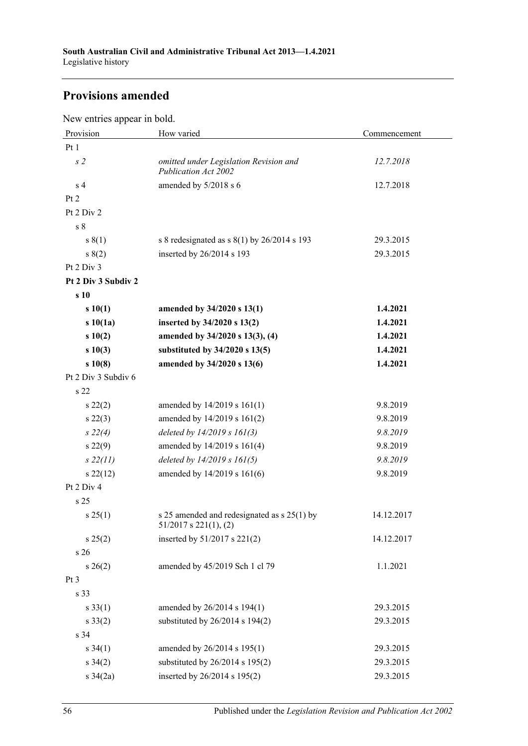# **Provisions amended**

New entries appear in bold.

| Provision           | How varied                                                                  | Commencement |
|---------------------|-----------------------------------------------------------------------------|--------------|
| Pt 1                |                                                                             |              |
| s <sub>2</sub>      | omitted under Legislation Revision and<br><b>Publication Act 2002</b>       | 12.7.2018    |
| s <sub>4</sub>      | amended by 5/2018 s 6                                                       | 12.7.2018    |
| Pt 2                |                                                                             |              |
| Pt 2 Div 2          |                                                                             |              |
| s <sub>8</sub>      |                                                                             |              |
| s(1)                | s 8 redesignated as $s(1)$ by 26/2014 s 193                                 | 29.3.2015    |
| s(2)                | inserted by 26/2014 s 193                                                   | 29.3.2015    |
| Pt 2 Div 3          |                                                                             |              |
| Pt 2 Div 3 Subdiv 2 |                                                                             |              |
| s 10                |                                                                             |              |
| s10(1)              | amended by 34/2020 s 13(1)                                                  | 1.4.2021     |
| s10(1a)             | inserted by 34/2020 s 13(2)                                                 | 1.4.2021     |
| s10(2)              | amended by 34/2020 s 13(3), (4)                                             | 1.4.2021     |
| s10(3)              | substituted by 34/2020 s 13(5)                                              | 1.4.2021     |
| s10(8)              | amended by 34/2020 s 13(6)                                                  | 1.4.2021     |
| Pt 2 Div 3 Subdiv 6 |                                                                             |              |
| s 22                |                                                                             |              |
| $s\,22(2)$          | amended by 14/2019 s 161(1)                                                 | 9.8.2019     |
| $s\,22(3)$          | amended by 14/2019 s 161(2)                                                 | 9.8.2019     |
| $s\ 22(4)$          | deleted by $14/2019 s 161(3)$                                               | 9.8.2019     |
| $s\,22(9)$          | amended by 14/2019 s 161(4)                                                 | 9.8.2019     |
| $s\,22(11)$         | deleted by 14/2019 s 161(5)                                                 | 9.8.2019     |
| $s\,22(12)$         | amended by 14/2019 s 161(6)                                                 | 9.8.2019     |
| Pt 2 Div 4          |                                                                             |              |
| s 25                |                                                                             |              |
| $s \, 25(1)$        | s 25 amended and redesignated as $s$ 25(1) by<br>$51/2017$ s $221(1)$ , (2) | 14.12.2017   |
| s 25(2)             | inserted by 51/2017 s 221(2)                                                | 14.12.2017   |
| s 26                |                                                                             |              |
| $s \; 26(2)$        | amended by 45/2019 Sch 1 cl 79                                              | 1.1.2021     |
| Pt <sub>3</sub>     |                                                                             |              |
| s 33                |                                                                             |              |
| $s \, 33(1)$        | amended by 26/2014 s 194(1)                                                 | 29.3.2015    |
| $s \, 33(2)$        | substituted by $26/2014$ s $194(2)$                                         | 29.3.2015    |
| s 34                |                                                                             |              |
| $s \; 34(1)$        | amended by 26/2014 s 195(1)                                                 | 29.3.2015    |
| $s \; 34(2)$        | substituted by $26/2014$ s $195(2)$                                         | 29.3.2015    |
| s $34(2a)$          | inserted by 26/2014 s 195(2)                                                | 29.3.2015    |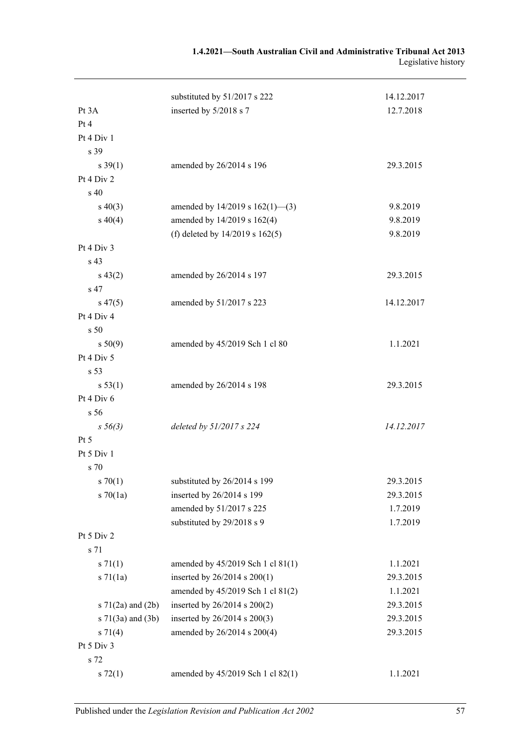| 1.4.2021—South Australian Civil and Administrative Tribunal Act 2013 |                     |
|----------------------------------------------------------------------|---------------------|
|                                                                      | Legislative history |

|                            | substituted by 51/2017 s 222         | 14.12.2017 |
|----------------------------|--------------------------------------|------------|
| Pt 3A                      | inserted by 5/2018 s 7               | 12.7.2018  |
| Pt 4                       |                                      |            |
| Pt 4 Div 1                 |                                      |            |
| s 39                       |                                      |            |
| $s \, 39(1)$               | amended by 26/2014 s 196             | 29.3.2015  |
| Pt 4 Div 2                 |                                      |            |
| s <sub>40</sub>            |                                      |            |
| $s\ 40(3)$                 | amended by $14/2019$ s $162(1)$ —(3) | 9.8.2019   |
| $s\ 40(4)$                 | amended by 14/2019 s 162(4)          | 9.8.2019   |
|                            | (f) deleted by $14/2019$ s $162(5)$  | 9.8.2019   |
| Pt 4 Div 3                 |                                      |            |
| s 43                       |                                      |            |
| $s\,43(2)$                 | amended by 26/2014 s 197             | 29.3.2015  |
| s 47                       |                                      |            |
| $s\,47(5)$                 | amended by 51/2017 s 223             | 14.12.2017 |
| Pt 4 Div 4                 |                                      |            |
| s <sub>50</sub>            |                                      |            |
| s 50(9)                    | amended by 45/2019 Sch 1 cl 80       | 1.1.2021   |
| Pt 4 Div 5                 |                                      |            |
| s 53                       |                                      |            |
| s 53(1)                    | amended by 26/2014 s 198             | 29.3.2015  |
| Pt 4 Div 6                 |                                      |            |
| s 56                       |                                      |            |
| $s\,56(3)$                 | deleted by 51/2017 s 224             | 14.12.2017 |
| Pt 5                       |                                      |            |
| Pt 5 Div 1                 |                                      |            |
| s 70                       |                                      |            |
| $s \, 70(1)$               | substituted by 26/2014 s 199         | 29.3.2015  |
| $s \, 70(1a)$              | inserted by 26/2014 s 199            | 29.3.2015  |
|                            | amended by 51/2017 s 225             | 1.7.2019   |
|                            | substituted by 29/2018 s 9           | 1.7.2019   |
| Pt 5 Div 2                 |                                      |            |
| s 71                       |                                      |            |
| $s \, 71(1)$               | amended by 45/2019 Sch 1 cl 81(1)    | 1.1.2021   |
| $s \, 71(1a)$              | inserted by 26/2014 s 200(1)         | 29.3.2015  |
|                            | amended by 45/2019 Sch 1 cl 81(2)    | 1.1.2021   |
| s 71(2a) and (2b)          | inserted by 26/2014 s 200(2)         | 29.3.2015  |
| $s \, 71(3a)$ and $(3b)$   | inserted by 26/2014 s 200(3)         | 29.3.2015  |
| $s \, 71(4)$<br>Pt 5 Div 3 | amended by 26/2014 s 200(4)          | 29.3.2015  |
| s 72                       |                                      |            |
| $s \, 72(1)$               | amended by 45/2019 Sch 1 cl 82(1)    | 1.1.2021   |
|                            |                                      |            |